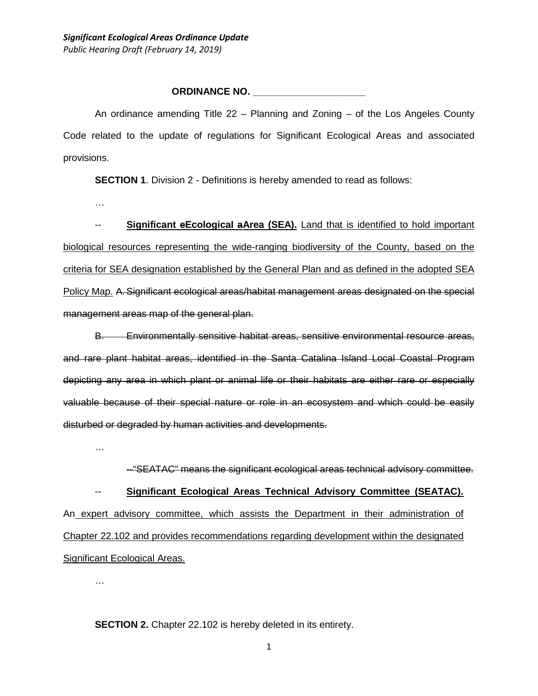#### **ORDINANCE NO. \_\_\_\_\_\_\_\_\_\_\_\_\_\_\_\_\_\_\_\_\_**

An ordinance amending Title 22 – Planning and Zoning – of the Los Angeles County Code related to the update of regulations for Significant Ecological Areas and associated provisions.

**SECTION 1.** Division 2 - Definitions is hereby amended to read as follows:

…

-- **Significant eEcological aArea (SEA).** Land that is identified to hold important biological resources representing the wide-ranging biodiversity of the County, based on the criteria for SEA designation established by the General Plan and as defined in the adopted SEA Policy Map. A. Significant ecological areas/habitat management areas designated on the special management areas map of the general plan.

B. Environmentally sensitive habitat areas, sensitive environmental resource areas, and rare plant habitat areas, identified in the Santa Catalina Island Local Coastal Program depicting any area in which plant or animal life or their habitats are either rare or especially valuable because of their special nature or role in an ecosystem and which could be easily disturbed or degraded by human activities and developments.

…

--"SEATAC" means the significant ecological areas technical advisory committee.

-- **Significant Ecological Areas Technical Advisory Committee (SEATAC).** An expert advisory committee, which assists the Department in their administration of Chapter 22.102 and provides recommendations regarding development within the designated Significant Ecological Areas.

…

**SECTION 2.** Chapter 22.102 is hereby deleted in its entirety.

1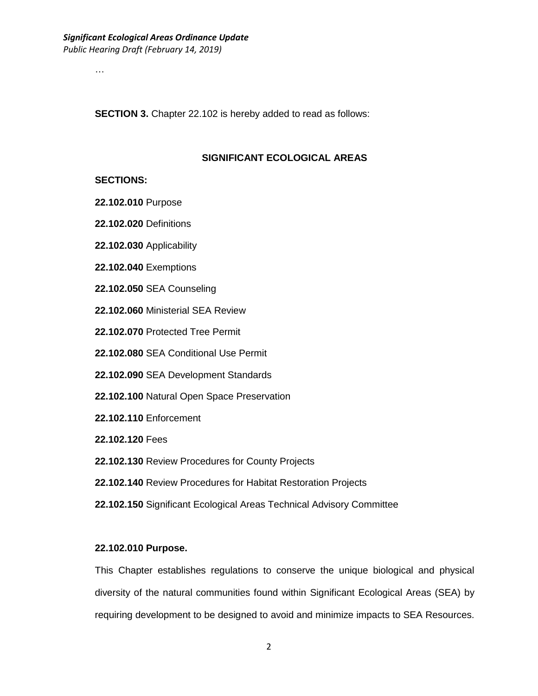…

**SECTION 3.** Chapter 22.102 is hereby added to read as follows:

#### **SIGNIFICANT ECOLOGICAL AREAS**

#### **SECTIONS:**

- **22.102.010** Purpose
- **22.102.020** Definitions
- **22.102.030** Applicability
- **22.102.040** Exemptions
- **22.102.050** SEA Counseling
- **22.102.060** Ministerial SEA Review
- **22.102.070** Protected Tree Permit
- **22.102.080** SEA Conditional Use Permit
- **22.102.090** SEA Development Standards
- **22.102.100** Natural Open Space Preservation
- **22.102.110** Enforcement
- **22.102.120** Fees
- **22.102.130** Review Procedures for County Projects
- **22.102.140** Review Procedures for Habitat Restoration Projects
- **22.102.150** Significant Ecological Areas Technical Advisory Committee

#### **22.102.010 Purpose.**

This Chapter establishes regulations to conserve the unique biological and physical diversity of the natural communities found within Significant Ecological Areas (SEA) by requiring development to be designed to avoid and minimize impacts to SEA Resources.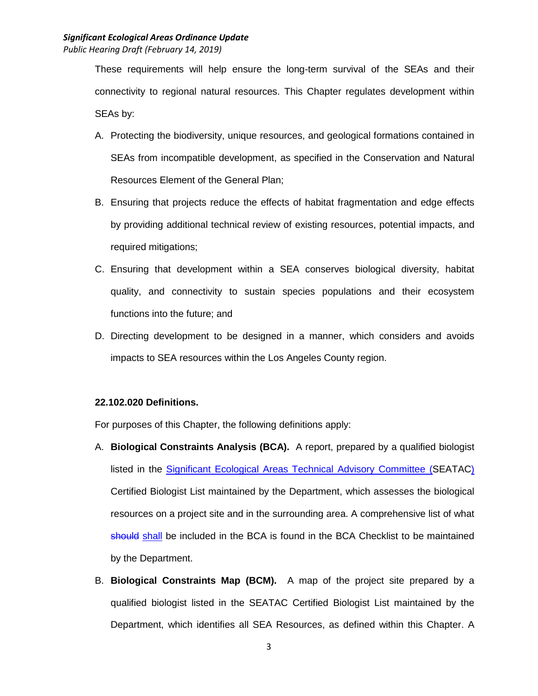These requirements will help ensure the long-term survival of the SEAs and their connectivity to regional natural resources. This Chapter regulates development within SEAs by:

- A. Protecting the biodiversity, unique resources, and geological formations contained in SEAs from incompatible development, as specified in the Conservation and Natural Resources Element of the General Plan;
- B. Ensuring that projects reduce the effects of habitat fragmentation and edge effects by providing additional technical review of existing resources, potential impacts, and required mitigations;
- C. Ensuring that development within a SEA conserves biological diversity, habitat quality, and connectivity to sustain species populations and their ecosystem functions into the future; and
- D. Directing development to be designed in a manner, which considers and avoids impacts to SEA resources within the Los Angeles County region.

## **22.102.020 Definitions.**

For purposes of this Chapter, the following definitions apply:

- A. **Biological Constraints Analysis (BCA).** A report, prepared by a qualified biologist listed in the Significant Ecological Areas Technical Advisory Committee (SEATAC) Certified Biologist List maintained by the Department, which assesses the biological resources on a project site and in the surrounding area. A comprehensive list of what should shall be included in the BCA is found in the BCA Checklist to be maintained by the Department.
- B. **Biological Constraints Map (BCM).** A map of the project site prepared by a qualified biologist listed in the SEATAC Certified Biologist List maintained by the Department, which identifies all SEA Resources, as defined within this Chapter. A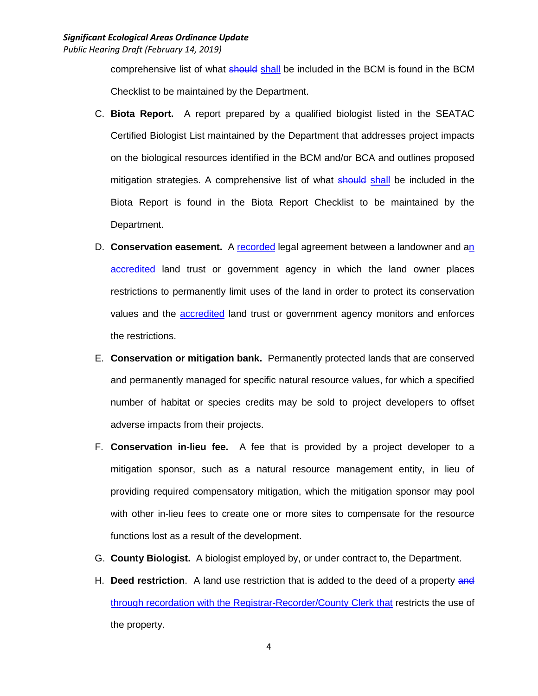comprehensive list of what should shall be included in the BCM is found in the BCM Checklist to be maintained by the Department.

- C. **Biota Report.** A report prepared by a qualified biologist listed in the SEATAC Certified Biologist List maintained by the Department that addresses project impacts on the biological resources identified in the BCM and/or BCA and outlines proposed mitigation strategies. A comprehensive list of what should shall be included in the Biota Report is found in the Biota Report Checklist to be maintained by the Department.
- D. **Conservation easement.** A recorded legal agreement between a landowner and an accredited land trust or government agency in which the land owner places restrictions to permanently limit uses of the land in order to protect its conservation values and the **accredited** land trust or government agency monitors and enforces the restrictions.
- E. **Conservation or mitigation bank.** Permanently protected lands that are conserved and permanently managed for specific natural resource values, for which a specified number of habitat or species credits may be sold to project developers to offset adverse impacts from their projects.
- F. **Conservation in-lieu fee.** A fee that is provided by a project developer to a mitigation sponsor, such as a natural resource management entity, in lieu of providing required compensatory mitigation, which the mitigation sponsor may pool with other in-lieu fees to create one or more sites to compensate for the resource functions lost as a result of the development.
- G. **County Biologist.** A biologist employed by, or under contract to, the Department.
- H. **Deed restriction**. A land use restriction that is added to the deed of a property and through recordation with the Registrar-Recorder/County Clerk that restricts the use of the property.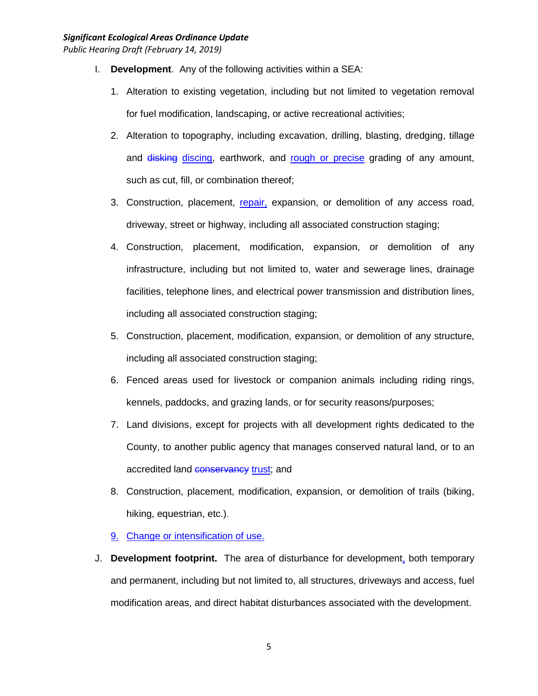- I. **Development**. Any of the following activities within a SEA:
	- 1. Alteration to existing vegetation, including but not limited to vegetation removal for fuel modification, landscaping, or active recreational activities;
	- 2. Alteration to topography, including excavation, drilling, blasting, dredging, tillage and disking discing, earthwork, and rough or precise grading of any amount, such as cut, fill, or combination thereof;
	- 3. Construction, placement, repair, expansion, or demolition of any access road, driveway, street or highway, including all associated construction staging;
	- 4. Construction, placement, modification, expansion, or demolition of any infrastructure, including but not limited to, water and sewerage lines, drainage facilities, telephone lines, and electrical power transmission and distribution lines, including all associated construction staging;
	- 5. Construction, placement, modification, expansion, or demolition of any structure, including all associated construction staging;
	- 6. Fenced areas used for livestock or companion animals including riding rings, kennels, paddocks, and grazing lands, or for security reasons/purposes;
	- 7. Land divisions, except for projects with all development rights dedicated to the County, to another public agency that manages conserved natural land, or to an accredited land **conservancy** trust; and
	- 8. Construction, placement, modification, expansion, or demolition of trails (biking, hiking, equestrian, etc.).
	- 9. Change or intensification of use.
- J. **Development footprint.** The area of disturbance for development, both temporary and permanent, including but not limited to, all structures, driveways and access, fuel modification areas, and direct habitat disturbances associated with the development.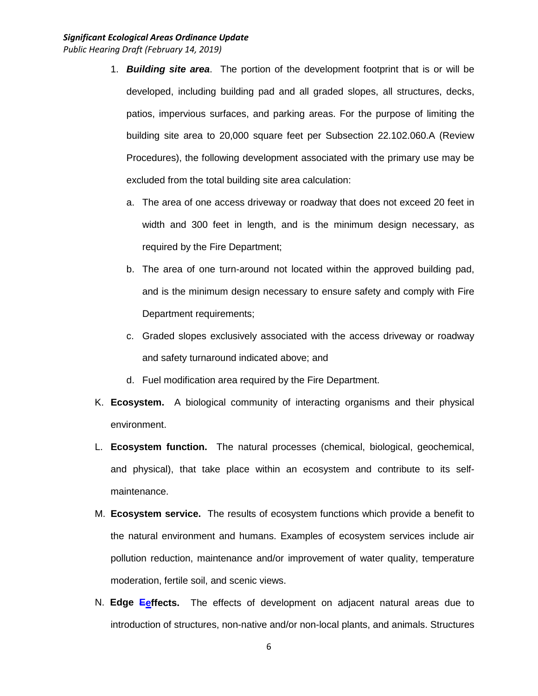- 1. *Building site area*. The portion of the development footprint that is or will be developed, including building pad and all graded slopes, all structures, decks, patios, impervious surfaces, and parking areas. For the purpose of limiting the building site area to 20,000 square feet per Subsection 22.102.060.A (Review Procedures), the following development associated with the primary use may be excluded from the total building site area calculation:
	- a. The area of one access driveway or roadway that does not exceed 20 feet in width and 300 feet in length, and is the minimum design necessary, as required by the Fire Department;
	- b. The area of one turn-around not located within the approved building pad, and is the minimum design necessary to ensure safety and comply with Fire Department requirements;
	- c. Graded slopes exclusively associated with the access driveway or roadway and safety turnaround indicated above; and
	- d. Fuel modification area required by the Fire Department.
- K. **Ecosystem.** A biological community of interacting organisms and their physical environment.
- L. **Ecosystem function.** The natural processes (chemical, biological, geochemical, and physical), that take place within an ecosystem and contribute to its selfmaintenance.
- M. **Ecosystem service.** The results of ecosystem functions which provide a benefit to the natural environment and humans. Examples of ecosystem services include air pollution reduction, maintenance and/or improvement of water quality, temperature moderation, fertile soil, and scenic views.
- N. **Edge Eeffects.** The effects of development on adjacent natural areas due to introduction of structures, non-native and/or non-local plants, and animals. Structures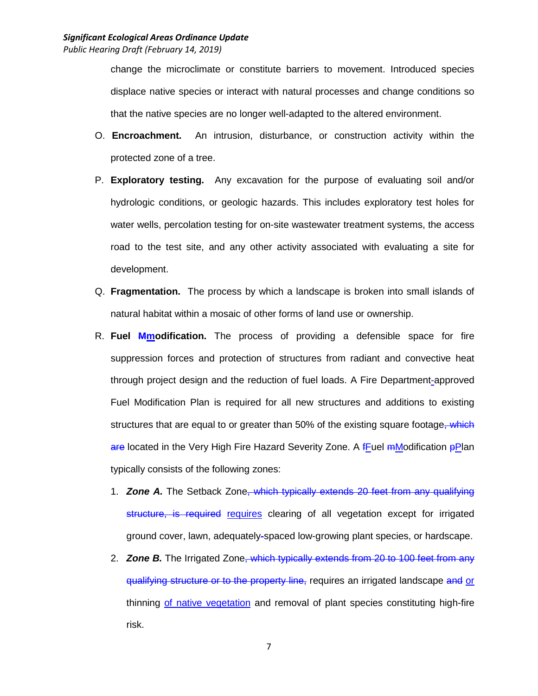change the microclimate or constitute barriers to movement. Introduced species displace native species or interact with natural processes and change conditions so that the native species are no longer well-adapted to the altered environment.

- O. **Encroachment.** An intrusion, disturbance, or construction activity within the protected zone of a tree.
- P. **Exploratory testing.** Any excavation for the purpose of evaluating soil and/or hydrologic conditions, or geologic hazards. This includes exploratory test holes for water wells, percolation testing for on-site wastewater treatment systems, the access road to the test site, and any other activity associated with evaluating a site for development.
- Q. **Fragmentation.** The process by which a landscape is broken into small islands of natural habitat within a mosaic of other forms of land use or ownership.
- R. **Fuel Mmodification.** The process of providing a defensible space for fire suppression forces and protection of structures from radiant and convective heat through project design and the reduction of fuel loads. A Fire Department-approved Fuel Modification Plan is required for all new structures and additions to existing structures that are equal to or greater than 50% of the existing square footage, which are located in the Very High Fire Hazard Severity Zone. A fFuel mModification pPlan typically consists of the following zones:
	- 1. *Zone A.* The Setback Zone, which typically extends 20 feet from any qualifying structure, is required requires clearing of all vegetation except for irrigated ground cover, lawn, adequately-spaced low-growing plant species, or hardscape.
	- 2. *Zone B.* The Irrigated Zone, which typically extends from 20 to 100 feet from any qualifying structure or to the property line, requires an irrigated landscape and or thinning of native vegetation and removal of plant species constituting high-fire risk.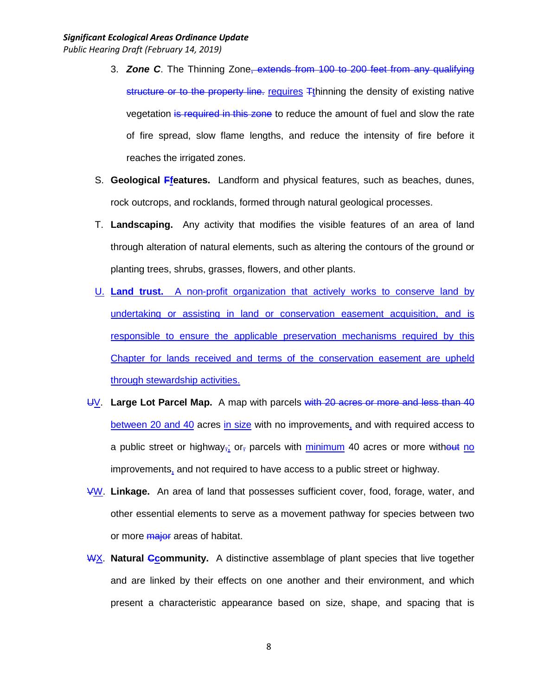- 3. *Zone C*. The Thinning Zone, extends from 100 to 200 feet from any qualifying structure or to the property line. requires  $F$ thinning the density of existing native vegetation is required in this zone to reduce the amount of fuel and slow the rate of fire spread, slow flame lengths, and reduce the intensity of fire before it reaches the irrigated zones.
- S. **Geological Ffeatures.** Landform and physical features, such as beaches, dunes, rock outcrops, and rocklands, formed through natural geological processes.
- T. **Landscaping.** Any activity that modifies the visible features of an area of land through alteration of natural elements, such as altering the contours of the ground or planting trees, shrubs, grasses, flowers, and other plants.
- U. **Land trust.** A non-profit organization that actively works to conserve land by undertaking or assisting in land or conservation easement acquisition, and is responsible to ensure the applicable preservation mechanisms required by this Chapter for lands received and terms of the conservation easement are upheld through stewardship activities.
- UV. **Large Lot Parcel Map.** A map with parcels with 20 acres or more and less than 40 between 20 and 40 acres in size with no improvements, and with required access to a public street or highway<sub>r</sub>; or, parcels with minimum 40 acres or more without no improvements, and not required to have access to a public street or highway.
- VW. **Linkage.** An area of land that possesses sufficient cover, food, forage, water, and other essential elements to serve as a movement pathway for species between two or more *major* areas of habitat.
- WX. **Natural Ccommunity.** A distinctive assemblage of plant species that live together and are linked by their effects on one another and their environment, and which present a characteristic appearance based on size, shape, and spacing that is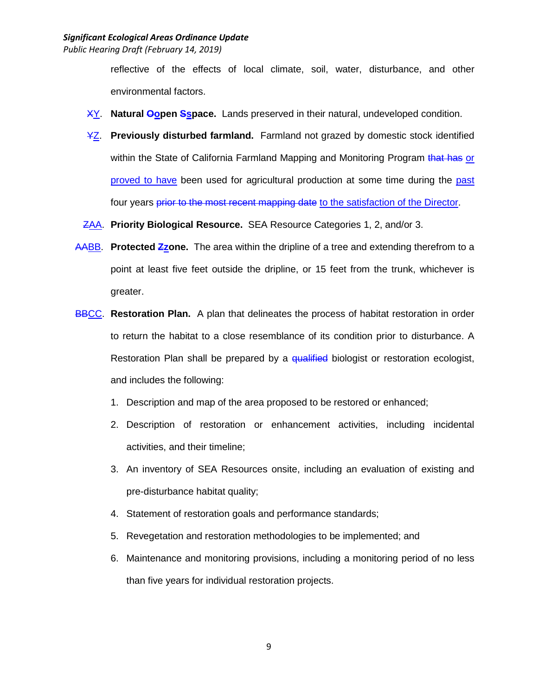reflective of the effects of local climate, soil, water, disturbance, and other environmental factors.

- XY. **Natural Oopen Sspace.** Lands preserved in their natural, undeveloped condition.
- YZ. **Previously disturbed farmland.** Farmland not grazed by domestic stock identified within the State of California Farmland Mapping and Monitoring Program that has or proved to have been used for agricultural production at some time during the past four years prior to the most recent mapping date to the satisfaction of the Director.
- ZAA. **Priority Biological Resource.** SEA Resource Categories 1, 2, and/or 3.
- AABB. **Protected Zzone.** The area within the dripline of a tree and extending therefrom to a point at least five feet outside the dripline, or 15 feet from the trunk, whichever is greater.
- **BBCC. Restoration Plan.** A plan that delineates the process of habitat restoration in order to return the habitat to a close resemblance of its condition prior to disturbance. A Restoration Plan shall be prepared by a qualified biologist or restoration ecologist, and includes the following:
	- 1. Description and map of the area proposed to be restored or enhanced;
	- 2. Description of restoration or enhancement activities, including incidental activities, and their timeline;
	- 3. An inventory of SEA Resources onsite, including an evaluation of existing and pre-disturbance habitat quality;
	- 4. Statement of restoration goals and performance standards;
	- 5. Revegetation and restoration methodologies to be implemented; and
	- 6. Maintenance and monitoring provisions, including a monitoring period of no less than five years for individual restoration projects.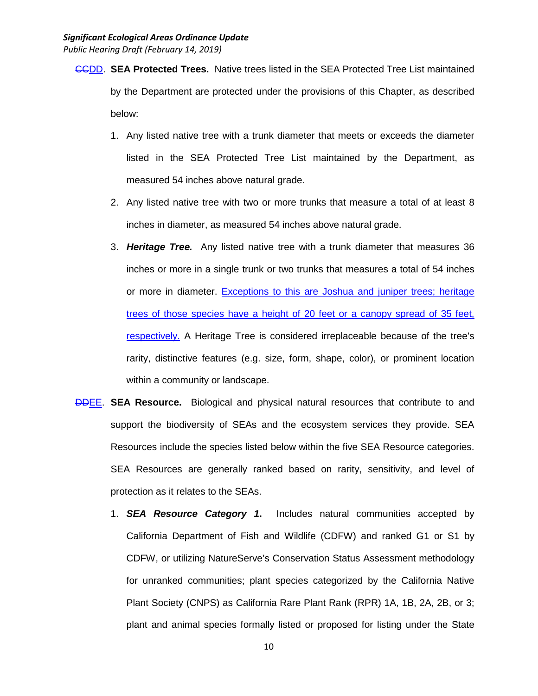- CCDD. **SEA Protected Trees.** Native trees listed in the SEA Protected Tree List maintained by the Department are protected under the provisions of this Chapter, as described below:
	- 1. Any listed native tree with a trunk diameter that meets or exceeds the diameter listed in the SEA Protected Tree List maintained by the Department, as measured 54 inches above natural grade.
	- 2. Any listed native tree with two or more trunks that measure a total of at least 8 inches in diameter, as measured 54 inches above natural grade.
	- 3. *Heritage Tree.* Any listed native tree with a trunk diameter that measures 36 inches or more in a single trunk or two trunks that measures a total of 54 inches or more in diameter. Exceptions to this are Joshua and juniper trees; heritage trees of those species have a height of 20 feet or a canopy spread of 35 feet, respectively. A Heritage Tree is considered irreplaceable because of the tree's rarity, distinctive features (e.g. size, form, shape, color), or prominent location within a community or landscape.
- DDEE. **SEA Resource.** Biological and physical natural resources that contribute to and support the biodiversity of SEAs and the ecosystem services they provide. SEA Resources include the species listed below within the five SEA Resource categories. SEA Resources are generally ranked based on rarity, sensitivity, and level of protection as it relates to the SEAs.
	- 1. *SEA Resource Category 1***.** Includes natural communities accepted by California Department of Fish and Wildlife (CDFW) and ranked G1 or S1 by CDFW, or utilizing NatureServe's Conservation Status Assessment methodology for unranked communities; plant species categorized by the California Native Plant Society (CNPS) as California Rare Plant Rank (RPR) 1A, 1B, 2A, 2B, or 3; plant and animal species formally listed or proposed for listing under the State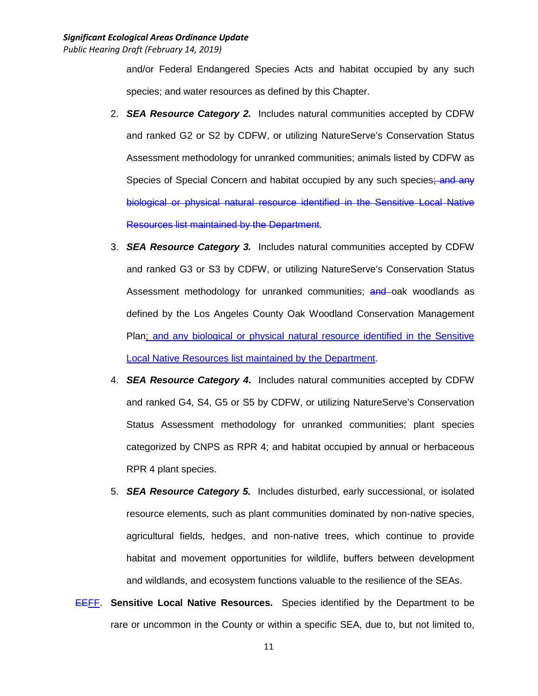and/or Federal Endangered Species Acts and habitat occupied by any such species; and water resources as defined by this Chapter.

- 2. *SEA Resource Category 2.* Includes natural communities accepted by CDFW and ranked G2 or S2 by CDFW, or utilizing NatureServe's Conservation Status Assessment methodology for unranked communities; animals listed by CDFW as Species of Special Concern and habitat occupied by any such species; and any biological or physical natural resource identified in the Sensitive Local Native Resources list maintained by the Department.
- 3. *SEA Resource Category 3.* Includes natural communities accepted by CDFW and ranked G3 or S3 by CDFW, or utilizing NatureServe's Conservation Status Assessment methodology for unranked communities; and oak woodlands as defined by the Los Angeles County Oak Woodland Conservation Management Plan; and any biological or physical natural resource identified in the Sensitive Local Native Resources list maintained by the Department.
- 4. *SEA Resource Category 4***.** Includes natural communities accepted by CDFW and ranked G4, S4, G5 or S5 by CDFW, or utilizing NatureServe's Conservation Status Assessment methodology for unranked communities; plant species categorized by CNPS as RPR 4; and habitat occupied by annual or herbaceous RPR 4 plant species.
- 5. *SEA Resource Category 5.* Includes disturbed, early successional, or isolated resource elements, such as plant communities dominated by non-native species, agricultural fields, hedges, and non-native trees, which continue to provide habitat and movement opportunities for wildlife, buffers between development and wildlands, and ecosystem functions valuable to the resilience of the SEAs.
- EEFF. **Sensitive Local Native Resources.** Species identified by the Department to be rare or uncommon in the County or within a specific SEA, due to, but not limited to,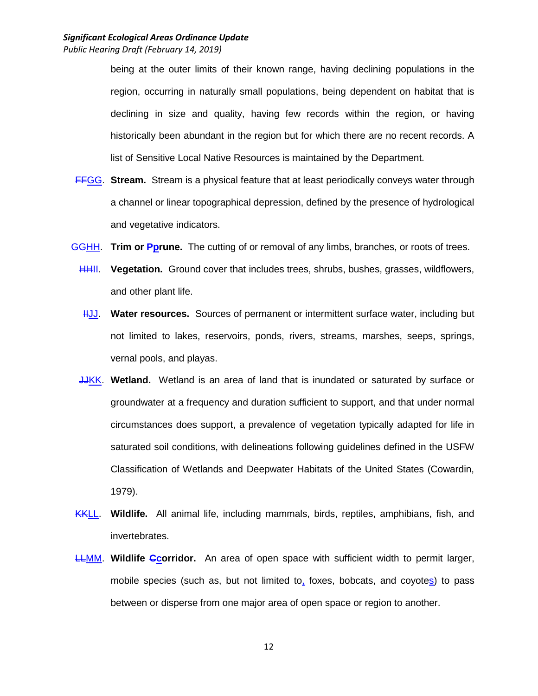being at the outer limits of their known range, having declining populations in the region, occurring in naturally small populations, being dependent on habitat that is declining in size and quality, having few records within the region, or having historically been abundant in the region but for which there are no recent records. A list of Sensitive Local Native Resources is maintained by the Department.

- FFGG. **Stream.** Stream is a physical feature that at least periodically conveys water through a channel or linear topographical depression, defined by the presence of hydrological and vegetative indicators.
- GGHH. **Trim or Pprune.** The cutting of or removal of any limbs, branches, or roots of trees.
	- HHII. **Vegetation.** Ground cover that includes trees, shrubs, bushes, grasses, wildflowers, and other plant life.
	- HUU. Water resources. Sources of permanent or intermittent surface water, including but not limited to lakes, reservoirs, ponds, rivers, streams, marshes, seeps, springs, vernal pools, and playas.
	- JJKK. **Wetland.** Wetland is an area of land that is inundated or saturated by surface or groundwater at a frequency and duration sufficient to support, and that under normal circumstances does support, a prevalence of vegetation typically adapted for life in saturated soil conditions, with delineations following guidelines defined in the USFW Classification of Wetlands and Deepwater Habitats of the United States (Cowardin, 1979).
- KKLL. **Wildlife.** All animal life, including mammals, birds, reptiles, amphibians, fish, and invertebrates.
- LLMM. **Wildlife Ccorridor.** An area of open space with sufficient width to permit larger, mobile species (such as, but not limited to, foxes, bobcats, and coyotes) to pass between or disperse from one major area of open space or region to another.

12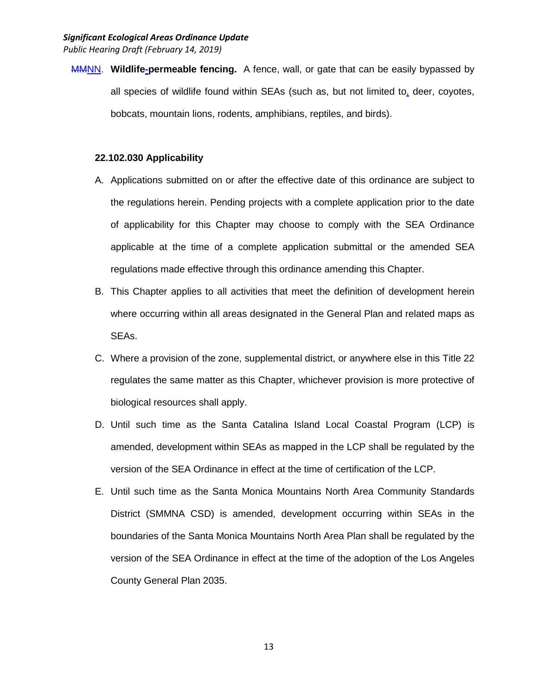MMNN. **Wildlife-permeable fencing.** A fence, wall, or gate that can be easily bypassed by all species of wildlife found within SEAs (such as, but not limited to, deer, coyotes, bobcats, mountain lions, rodents, amphibians, reptiles, and birds).

#### **22.102.030 Applicability**

- A. Applications submitted on or after the effective date of this ordinance are subject to the regulations herein. Pending projects with a complete application prior to the date of applicability for this Chapter may choose to comply with the SEA Ordinance applicable at the time of a complete application submittal or the amended SEA regulations made effective through this ordinance amending this Chapter.
- B. This Chapter applies to all activities that meet the definition of development herein where occurring within all areas designated in the General Plan and related maps as SEAs.
- C. Where a provision of the zone, supplemental district, or anywhere else in this Title 22 regulates the same matter as this Chapter, whichever provision is more protective of biological resources shall apply.
- D. Until such time as the Santa Catalina Island Local Coastal Program (LCP) is amended, development within SEAs as mapped in the LCP shall be regulated by the version of the SEA Ordinance in effect at the time of certification of the LCP.
- E. Until such time as the Santa Monica Mountains North Area Community Standards District (SMMNA CSD) is amended, development occurring within SEAs in the boundaries of the Santa Monica Mountains North Area Plan shall be regulated by the version of the SEA Ordinance in effect at the time of the adoption of the Los Angeles County General Plan 2035.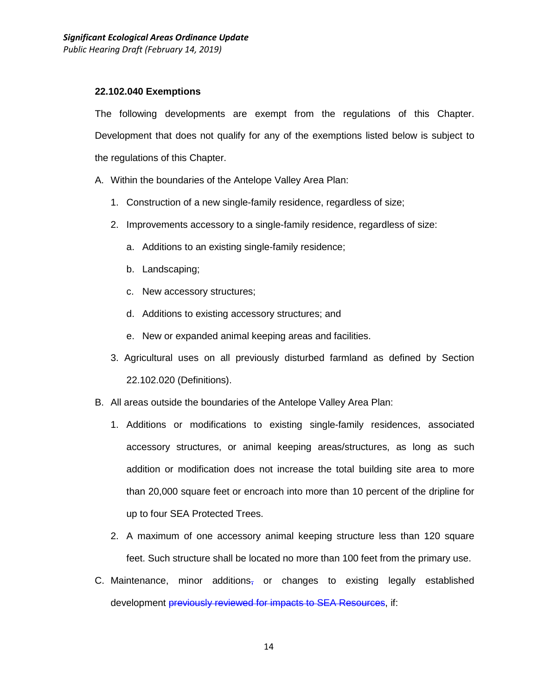#### **22.102.040 Exemptions**

The following developments are exempt from the regulations of this Chapter. Development that does not qualify for any of the exemptions listed below is subject to the regulations of this Chapter.

- A. Within the boundaries of the Antelope Valley Area Plan:
	- 1. Construction of a new single-family residence, regardless of size;
	- 2. Improvements accessory to a single-family residence, regardless of size:
		- a. Additions to an existing single-family residence;
		- b. Landscaping;
		- c. New accessory structures;
		- d. Additions to existing accessory structures; and
		- e. New or expanded animal keeping areas and facilities.
	- 3. Agricultural uses on all previously disturbed farmland as defined by Section 22.102.020 (Definitions).
- B. All areas outside the boundaries of the Antelope Valley Area Plan:
	- 1. Additions or modifications to existing single-family residences, associated accessory structures, or animal keeping areas/structures, as long as such addition or modification does not increase the total building site area to more than 20,000 square feet or encroach into more than 10 percent of the dripline for up to four SEA Protected Trees.
	- 2. A maximum of one accessory animal keeping structure less than 120 square feet. Such structure shall be located no more than 100 feet from the primary use.
- C. Maintenance, minor additions<sub> $\bar{x}$ </sub> or changes to existing legally established development *previously reviewed for impacts to SEA Resources*, if: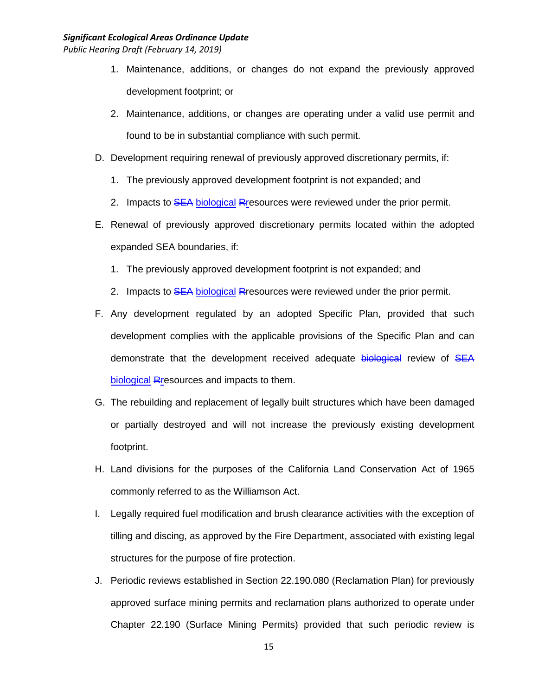- 1. Maintenance, additions, or changes do not expand the previously approved development footprint; or
- 2. Maintenance, additions, or changes are operating under a valid use permit and found to be in substantial compliance with such permit.
- D. Development requiring renewal of previously approved discretionary permits, if:
	- 1. The previously approved development footprint is not expanded; and
	- 2. Impacts to SEA biological Rresources were reviewed under the prior permit.
- E. Renewal of previously approved discretionary permits located within the adopted expanded SEA boundaries, if:
	- 1. The previously approved development footprint is not expanded; and
	- 2. Impacts to SEA biological Rresources were reviewed under the prior permit.
- F. Any development regulated by an adopted Specific Plan, provided that such development complies with the applicable provisions of the Specific Plan and can demonstrate that the development received adequate biological review of SEA biological Rresources and impacts to them.
- G. The rebuilding and replacement of legally built structures which have been damaged or partially destroyed and will not increase the previously existing development footprint.
- H. Land divisions for the purposes of the California Land Conservation Act of 1965 commonly referred to as the Williamson Act.
- I. Legally required fuel modification and brush clearance activities with the exception of tilling and discing, as approved by the Fire Department, associated with existing legal structures for the purpose of fire protection.
- J. Periodic reviews established in Section 22.190.080 (Reclamation Plan) for previously approved surface mining permits and reclamation plans authorized to operate under Chapter 22.190 (Surface Mining Permits) provided that such periodic review is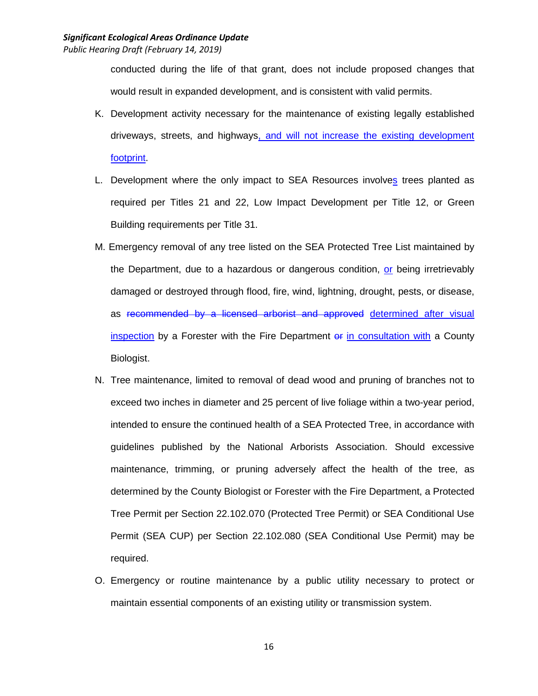conducted during the life of that grant, does not include proposed changes that would result in expanded development, and is consistent with valid permits.

- K. Development activity necessary for the maintenance of existing legally established driveways, streets, and highways, and will not increase the existing development footprint.
- L. Development where the only impact to SEA Resources involves trees planted as required per Titles 21 and 22, Low Impact Development per Title 12, or Green Building requirements per Title 31.
- M. Emergency removal of any tree listed on the SEA Protected Tree List maintained by the Department, due to a hazardous or dangerous condition, or being irretrievably damaged or destroyed through flood, fire, wind, lightning, drought, pests, or disease, as recommended by a licensed arborist and approved determined after visual inspection by a Forester with the Fire Department of in consultation with a County Biologist.
- N. Tree maintenance, limited to removal of dead wood and pruning of branches not to exceed two inches in diameter and 25 percent of live foliage within a two-year period, intended to ensure the continued health of a SEA Protected Tree, in accordance with guidelines published by the National Arborists Association. Should excessive maintenance, trimming, or pruning adversely affect the health of the tree, as determined by the County Biologist or Forester with the Fire Department, a Protected Tree Permit per Section 22.102.070 (Protected Tree Permit) or SEA Conditional Use Permit (SEA CUP) per Section 22.102.080 (SEA Conditional Use Permit) may be required.
- O. Emergency or routine maintenance by a public utility necessary to protect or maintain essential components of an existing utility or transmission system.

16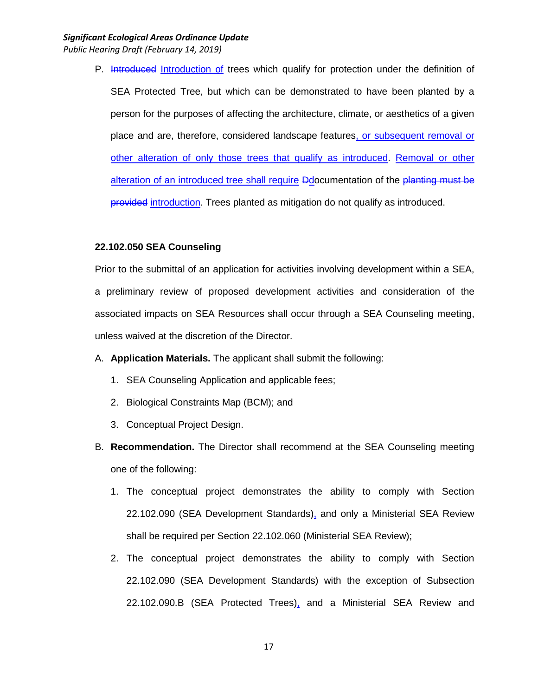# *Significant Ecological Areas Ordinance Update*

*Public Hearing Draft (February 14, 2019)*

P. Introduced Introduction of trees which qualify for protection under the definition of SEA Protected Tree, but which can be demonstrated to have been planted by a person for the purposes of affecting the architecture, climate, or aesthetics of a given place and are, therefore, considered landscape features, or subsequent removal or other alteration of only those trees that qualify as introduced. Removal or other alteration of an introduced tree shall require Ddocumentation of the planting must be provided introduction. Trees planted as mitigation do not qualify as introduced.

#### **22.102.050 SEA Counseling**

Prior to the submittal of an application for activities involving development within a SEA, a preliminary review of proposed development activities and consideration of the associated impacts on SEA Resources shall occur through a SEA Counseling meeting, unless waived at the discretion of the Director.

- A. **Application Materials.** The applicant shall submit the following:
	- 1. SEA Counseling Application and applicable fees;
	- 2. Biological Constraints Map (BCM); and
	- 3. Conceptual Project Design.
- B. **Recommendation.** The Director shall recommend at the SEA Counseling meeting one of the following:
	- 1. The conceptual project demonstrates the ability to comply with Section 22.102.090 (SEA Development Standards), and only a Ministerial SEA Review shall be required per Section 22.102.060 (Ministerial SEA Review);
	- 2. The conceptual project demonstrates the ability to comply with Section 22.102.090 (SEA Development Standards) with the exception of Subsection 22.102.090.B (SEA Protected Trees), and a Ministerial SEA Review and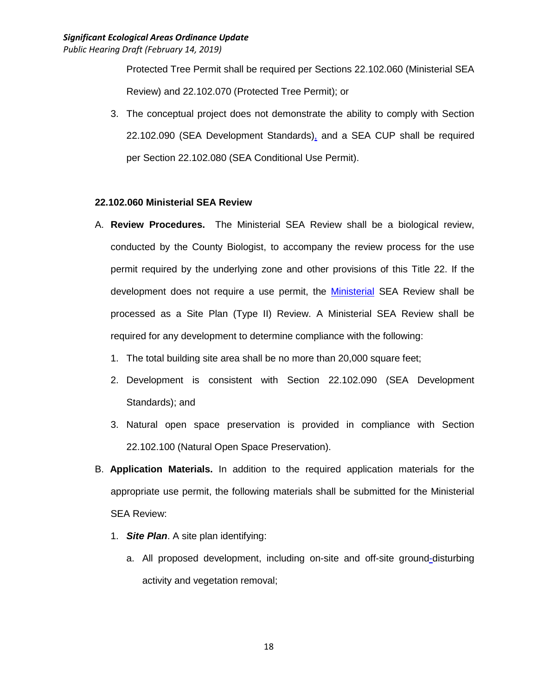Protected Tree Permit shall be required per Sections 22.102.060 (Ministerial SEA Review) and 22.102.070 (Protected Tree Permit); or

3. The conceptual project does not demonstrate the ability to comply with Section 22.102.090 (SEA Development Standards), and a SEA CUP shall be required per Section 22.102.080 (SEA Conditional Use Permit).

#### **22.102.060 Ministerial SEA Review**

- A. **Review Procedures.** The Ministerial SEA Review shall be a biological review, conducted by the County Biologist, to accompany the review process for the use permit required by the underlying zone and other provisions of this Title 22. If the development does not require a use permit, the Ministerial SEA Review shall be processed as a Site Plan (Type II) Review. A Ministerial SEA Review shall be required for any development to determine compliance with the following:
	- 1. The total building site area shall be no more than 20,000 square feet;
	- 2. Development is consistent with Section 22.102.090 (SEA Development Standards); and
	- 3. Natural open space preservation is provided in compliance with Section 22.102.100 (Natural Open Space Preservation).
- B. **Application Materials.** In addition to the required application materials for the appropriate use permit, the following materials shall be submitted for the Ministerial SEA Review:
	- 1. *Site Plan*. A site plan identifying:
		- a. All proposed development, including on-site and off-site ground-disturbing activity and vegetation removal;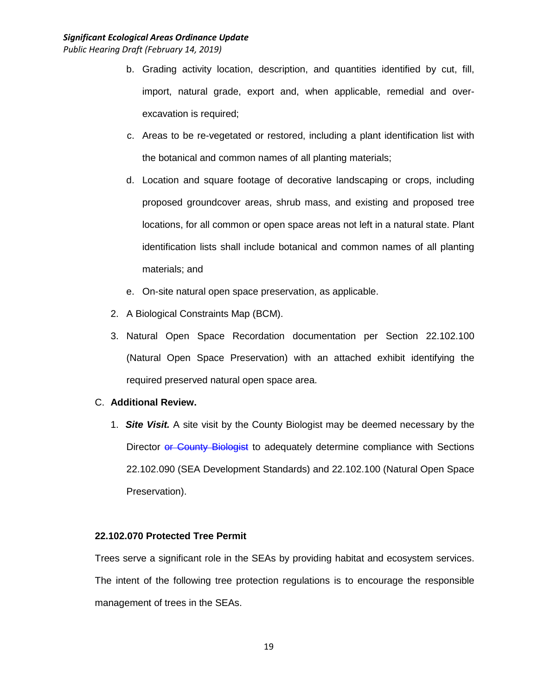- b. Grading activity location, description, and quantities identified by cut, fill, import, natural grade, export and, when applicable, remedial and overexcavation is required;
- c. Areas to be re-vegetated or restored, including a plant identification list with the botanical and common names of all planting materials;
- d. Location and square footage of decorative landscaping or crops, including proposed groundcover areas, shrub mass, and existing and proposed tree locations, for all common or open space areas not left in a natural state. Plant identification lists shall include botanical and common names of all planting materials; and
- e. On-site natural open space preservation, as applicable.
- 2. A Biological Constraints Map (BCM).
- 3. Natural Open Space Recordation documentation per Section 22.102.100 (Natural Open Space Preservation) with an attached exhibit identifying the required preserved natural open space area.

## C. **Additional Review.**

1. *Site Visit.* A site visit by the County Biologist may be deemed necessary by the Director or County Biologist to adequately determine compliance with Sections 22.102.090 (SEA Development Standards) and 22.102.100 (Natural Open Space Preservation).

## **22.102.070 Protected Tree Permit**

Trees serve a significant role in the SEAs by providing habitat and ecosystem services. The intent of the following tree protection regulations is to encourage the responsible management of trees in the SEAs.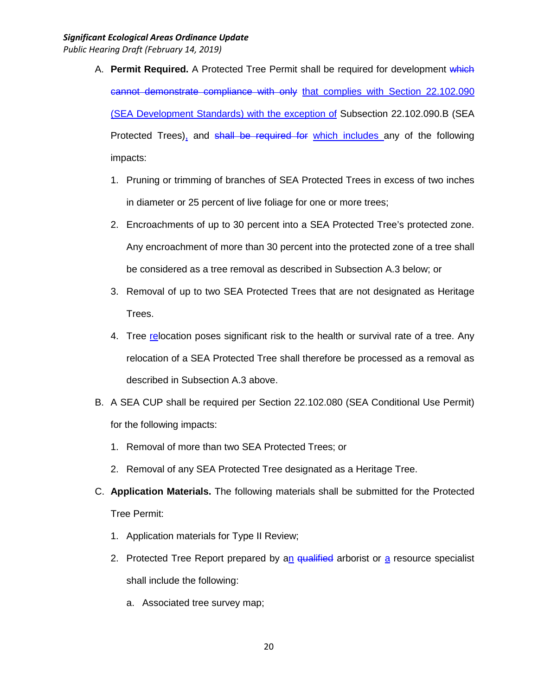- A. **Permit Required.** A Protected Tree Permit shall be required for development which cannot demonstrate compliance with only that complies with Section 22.102.090 (SEA Development Standards) with the exception of Subsection 22.102.090.B (SEA Protected Trees), and shall be required for which includes any of the following impacts:
	- 1. Pruning or trimming of branches of SEA Protected Trees in excess of two inches in diameter or 25 percent of live foliage for one or more trees;
	- 2. Encroachments of up to 30 percent into a SEA Protected Tree's protected zone. Any encroachment of more than 30 percent into the protected zone of a tree shall be considered as a tree removal as described in Subsection A.3 below; or
	- 3. Removal of up to two SEA Protected Trees that are not designated as Heritage Trees.
	- 4. Tree relocation poses significant risk to the health or survival rate of a tree. Any relocation of a SEA Protected Tree shall therefore be processed as a removal as described in Subsection A.3 above.
- B. A SEA CUP shall be required per Section 22.102.080 (SEA Conditional Use Permit) for the following impacts:
	- 1. Removal of more than two SEA Protected Trees; or
	- 2. Removal of any SEA Protected Tree designated as a Heritage Tree.
- C. **Application Materials.** The following materials shall be submitted for the Protected Tree Permit:
	- 1. Application materials for Type II Review;
	- 2. Protected Tree Report prepared by an qualified arborist or  $a$  resource specialist shall include the following:
		- a. Associated tree survey map;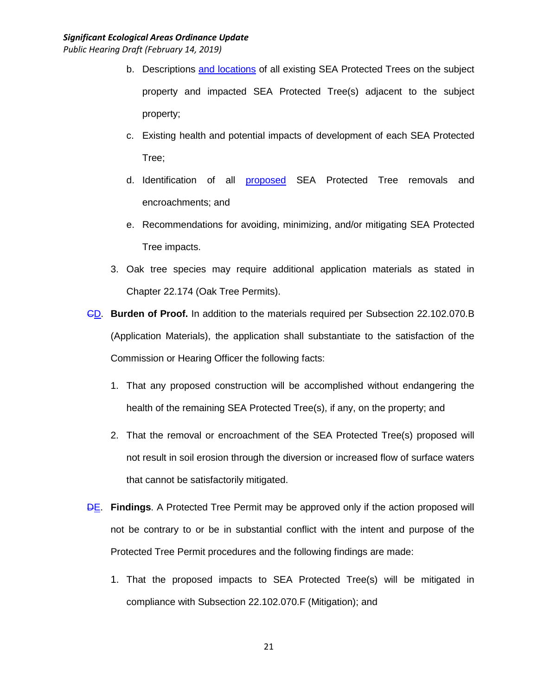- b. Descriptions and locations of all existing SEA Protected Trees on the subject property and impacted SEA Protected Tree(s) adjacent to the subject property;
- c. Existing health and potential impacts of development of each SEA Protected Tree;
- d. Identification of all proposed SEA Protected Tree removals and encroachments; and
- e. Recommendations for avoiding, minimizing, and/or mitigating SEA Protected Tree impacts.
- 3. Oak tree species may require additional application materials as stated in Chapter 22.174 (Oak Tree Permits).
- CD. **Burden of Proof.** In addition to the materials required per Subsection 22.102.070.B (Application Materials), the application shall substantiate to the satisfaction of the Commission or Hearing Officer the following facts:
	- 1. That any proposed construction will be accomplished without endangering the health of the remaining SEA Protected Tree(s), if any, on the property; and
	- 2. That the removal or encroachment of the SEA Protected Tree(s) proposed will not result in soil erosion through the diversion or increased flow of surface waters that cannot be satisfactorily mitigated.
- **DE.** Findings. A Protected Tree Permit may be approved only if the action proposed will not be contrary to or be in substantial conflict with the intent and purpose of the Protected Tree Permit procedures and the following findings are made:
	- 1. That the proposed impacts to SEA Protected Tree(s) will be mitigated in compliance with Subsection 22.102.070.F (Mitigation); and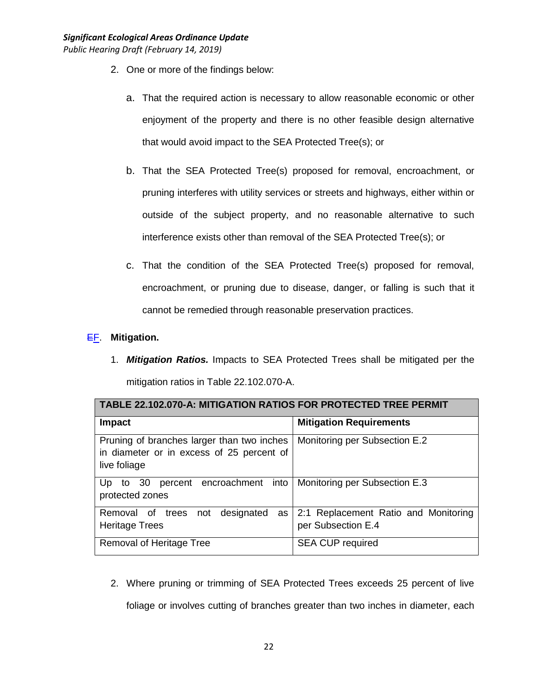- 2. One or more of the findings below:
	- a. That the required action is necessary to allow reasonable economic or other enjoyment of the property and there is no other feasible design alternative that would avoid impact to the SEA Protected Tree(s); or
	- b. That the SEA Protected Tree(s) proposed for removal, encroachment, or pruning interferes with utility services or streets and highways, either within or outside of the subject property, and no reasonable alternative to such interference exists other than removal of the SEA Protected Tree(s); or
	- c. That the condition of the SEA Protected Tree(s) proposed for removal, encroachment, or pruning due to disease, danger, or falling is such that it cannot be remedied through reasonable preservation practices.

# EF. **Mitigation.**

1. *Mitigation Ratios.* Impacts to SEA Protected Trees shall be mitigated per the mitigation ratios in Table 22.102.070-A.

| <b>TABLE 22.102.070-A: MITIGATION RATIOS FOR PROTECTED TREE PERMIT</b>                                  |                                                            |  |  |
|---------------------------------------------------------------------------------------------------------|------------------------------------------------------------|--|--|
| Impact                                                                                                  | <b>Mitigation Requirements</b>                             |  |  |
| Pruning of branches larger than two inches<br>in diameter or in excess of 25 percent of<br>live foliage | Monitoring per Subsection E.2                              |  |  |
| percent encroachment into<br>to $30$<br>Up.<br>protected zones                                          | Monitoring per Subsection E.3                              |  |  |
| designated<br>Removal of trees<br>not<br>as<br><b>Heritage Trees</b>                                    | 2:1 Replacement Ratio and Monitoring<br>per Subsection E.4 |  |  |
| Removal of Heritage Tree                                                                                | <b>SEA CUP required</b>                                    |  |  |

2. Where pruning or trimming of SEA Protected Trees exceeds 25 percent of live foliage or involves cutting of branches greater than two inches in diameter, each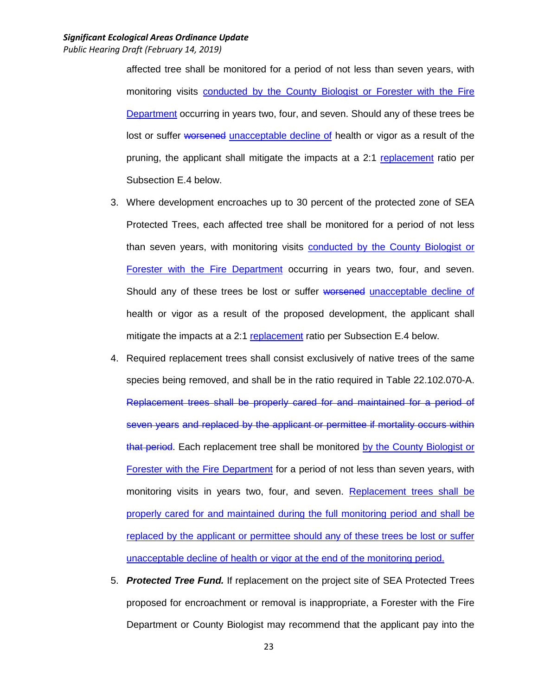affected tree shall be monitored for a period of not less than seven years, with monitoring visits conducted by the County Biologist or Forester with the Fire Department occurring in years two, four, and seven. Should any of these trees be lost or suffer worsened unacceptable decline of health or vigor as a result of the pruning, the applicant shall mitigate the impacts at a 2:1 replacement ratio per Subsection E.4 below.

- 3. Where development encroaches up to 30 percent of the protected zone of SEA Protected Trees, each affected tree shall be monitored for a period of not less than seven years, with monitoring visits conducted by the County Biologist or Forester with the Fire Department occurring in years two, four, and seven. Should any of these trees be lost or suffer worsened unacceptable decline of health or vigor as a result of the proposed development, the applicant shall mitigate the impacts at a 2:1 replacement ratio per Subsection E.4 below.
- 4. Required replacement trees shall consist exclusively of native trees of the same species being removed, and shall be in the ratio required in Table 22.102.070-A. Replacement trees shall be properly cared for and maintained for a period of seven years and replaced by the applicant or permittee if mortality occurs within that period. Each replacement tree shall be monitored by the County Biologist or Forester with the Fire Department for a period of not less than seven years, with monitoring visits in years two, four, and seven. Replacement trees shall be properly cared for and maintained during the full monitoring period and shall be replaced by the applicant or permittee should any of these trees be lost or suffer unacceptable decline of health or vigor at the end of the monitoring period.
- 5. *Protected Tree Fund.* If replacement on the project site of SEA Protected Trees proposed for encroachment or removal is inappropriate, a Forester with the Fire Department or County Biologist may recommend that the applicant pay into the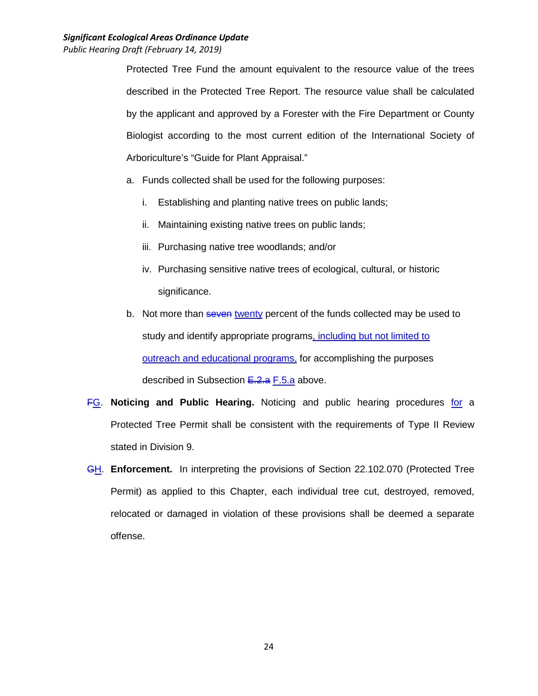Protected Tree Fund the amount equivalent to the resource value of the trees described in the Protected Tree Report. The resource value shall be calculated by the applicant and approved by a Forester with the Fire Department or County Biologist according to the most current edition of the International Society of Arboriculture's "Guide for Plant Appraisal."

- a. Funds collected shall be used for the following purposes:
	- i. Establishing and planting native trees on public lands;
	- ii. Maintaining existing native trees on public lands;
	- iii. Purchasing native tree woodlands; and/or
	- iv. Purchasing sensitive native trees of ecological, cultural, or historic significance.
- b. Not more than seven twenty percent of the funds collected may be used to study and identify appropriate programs, including but not limited to outreach and educational programs, for accomplishing the purposes described in Subsection E.2.a F.5.a above.
- FG. **Noticing and Public Hearing.** Noticing and public hearing procedures for a Protected Tree Permit shall be consistent with the requirements of Type II Review stated in Division 9.
- GH. **Enforcement.** In interpreting the provisions of Section 22.102.070 (Protected Tree Permit) as applied to this Chapter, each individual tree cut, destroyed, removed, relocated or damaged in violation of these provisions shall be deemed a separate offense.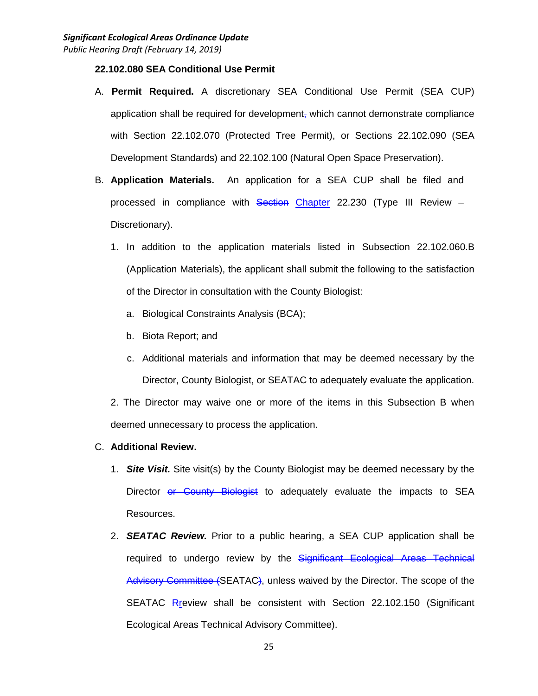## **22.102.080 SEA Conditional Use Permit**

- A. **Permit Required.** A discretionary SEA Conditional Use Permit (SEA CUP) application shall be required for development, which cannot demonstrate compliance with Section 22.102.070 (Protected Tree Permit), or Sections 22.102.090 (SEA Development Standards) and 22.102.100 (Natural Open Space Preservation).
- B. **Application Materials.** An application for a SEA CUP shall be filed and processed in compliance with Section Chapter 22.230 (Type III Review -Discretionary).
	- 1. In addition to the application materials listed in Subsection 22.102.060.B (Application Materials), the applicant shall submit the following to the satisfaction of the Director in consultation with the County Biologist:
		- a. Biological Constraints Analysis (BCA);
		- b. Biota Report; and
		- c. Additional materials and information that may be deemed necessary by the Director, County Biologist, or SEATAC to adequately evaluate the application.

2. The Director may waive one or more of the items in this Subsection B when deemed unnecessary to process the application.

#### C. **Additional Review.**

- 1. *Site Visit.* Site visit(s) by the County Biologist may be deemed necessary by the Director or County Biologist to adequately evaluate the impacts to SEA Resources.
- 2. *SEATAC Review.* Prior to a public hearing, a SEA CUP application shall be required to undergo review by the Significant Ecological Areas Technical Advisory Committee (SEATAC), unless waived by the Director. The scope of the SEATAC Rreview shall be consistent with Section 22.102.150 (Significant Ecological Areas Technical Advisory Committee).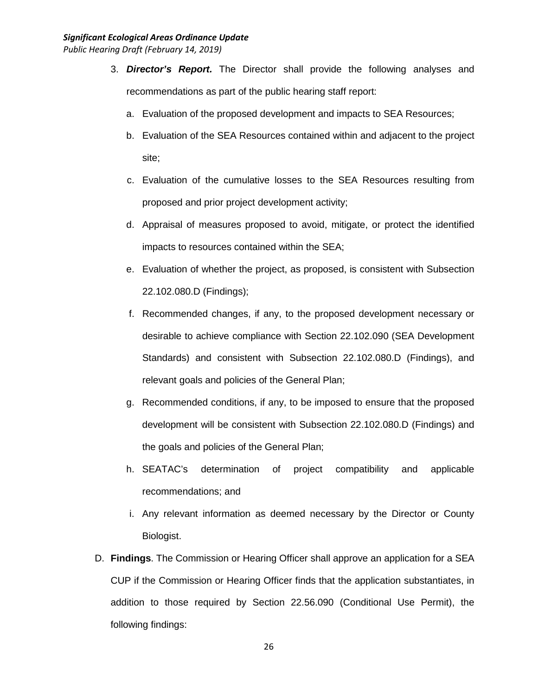#### *Significant Ecological Areas Ordinance Update*

*Public Hearing Draft (February 14, 2019)*

- 3. *Director's Report.* The Director shall provide the following analyses and recommendations as part of the public hearing staff report:
	- a. Evaluation of the proposed development and impacts to SEA Resources;
	- b. Evaluation of the SEA Resources contained within and adjacent to the project site;
	- c. Evaluation of the cumulative losses to the SEA Resources resulting from proposed and prior project development activity;
	- d. Appraisal of measures proposed to avoid, mitigate, or protect the identified impacts to resources contained within the SEA;
	- e. Evaluation of whether the project, as proposed, is consistent with Subsection 22.102.080.D (Findings);
	- f. Recommended changes, if any, to the proposed development necessary or desirable to achieve compliance with Section 22.102.090 (SEA Development Standards) and consistent with Subsection 22.102.080.D (Findings), and relevant goals and policies of the General Plan;
	- g. Recommended conditions, if any, to be imposed to ensure that the proposed development will be consistent with Subsection 22.102.080.D (Findings) and the goals and policies of the General Plan;
	- h. SEATAC's determination of project compatibility and applicable recommendations; and
	- i. Any relevant information as deemed necessary by the Director or County Biologist.
- D. **Findings**. The Commission or Hearing Officer shall approve an application for a SEA CUP if the Commission or Hearing Officer finds that the application substantiates, in addition to those required by Section 22.56.090 (Conditional Use Permit), the following findings: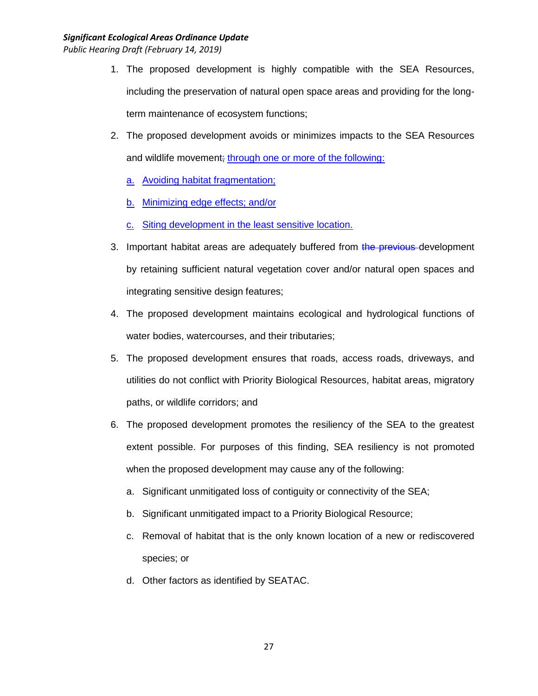- 1. The proposed development is highly compatible with the SEA Resources, including the preservation of natural open space areas and providing for the longterm maintenance of ecosystem functions;
- 2. The proposed development avoids or minimizes impacts to the SEA Resources and wildlife movement; through one or more of the following:
	- a. Avoiding habitat fragmentation;
	- b. Minimizing edge effects; and/or
	- c. Siting development in the least sensitive location.
- 3. Important habitat areas are adequately buffered from the previous development by retaining sufficient natural vegetation cover and/or natural open spaces and integrating sensitive design features;
- 4. The proposed development maintains ecological and hydrological functions of water bodies, watercourses, and their tributaries;
- 5. The proposed development ensures that roads, access roads, driveways, and utilities do not conflict with Priority Biological Resources, habitat areas, migratory paths, or wildlife corridors; and
- 6. The proposed development promotes the resiliency of the SEA to the greatest extent possible. For purposes of this finding, SEA resiliency is not promoted when the proposed development may cause any of the following:
	- a. Significant unmitigated loss of contiguity or connectivity of the SEA;
	- b. Significant unmitigated impact to a Priority Biological Resource;
	- c. Removal of habitat that is the only known location of a new or rediscovered species; or
	- d. Other factors as identified by SEATAC.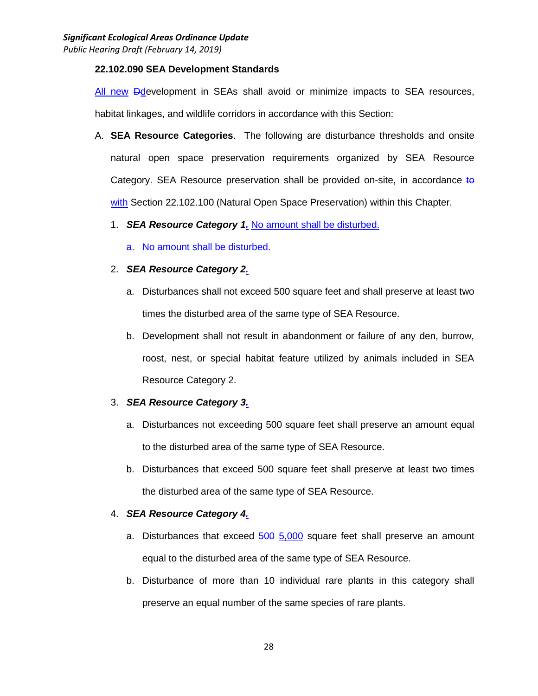### **22.102.090 SEA Development Standards**

All new Ddevelopment in SEAs shall avoid or minimize impacts to SEA resources, habitat linkages, and wildlife corridors in accordance with this Section:

A. **SEA Resource Categories**. The following are disturbance thresholds and onsite natural open space preservation requirements organized by SEA Resource Category. SEA Resource preservation shall be provided on-site, in accordance to with Section 22.102.100 (Natural Open Space Preservation) within this Chapter.

## 1. *SEA Resource Category 1.* No amount shall be disturbed.

a. No amount shall be disturbed.

## 2. *SEA Resource Category 2.*

- a. Disturbances shall not exceed 500 square feet and shall preserve at least two times the disturbed area of the same type of SEA Resource.
- b. Development shall not result in abandonment or failure of any den, burrow, roost, nest, or special habitat feature utilized by animals included in SEA Resource Category 2.

## 3. *SEA Resource Category 3.*

- a. Disturbances not exceeding 500 square feet shall preserve an amount equal to the disturbed area of the same type of SEA Resource.
- b. Disturbances that exceed 500 square feet shall preserve at least two times the disturbed area of the same type of SEA Resource.

## 4. *SEA Resource Category 4.*

- a. Disturbances that exceed 500 5,000 square feet shall preserve an amount equal to the disturbed area of the same type of SEA Resource.
- b. Disturbance of more than 10 individual rare plants in this category shall preserve an equal number of the same species of rare plants.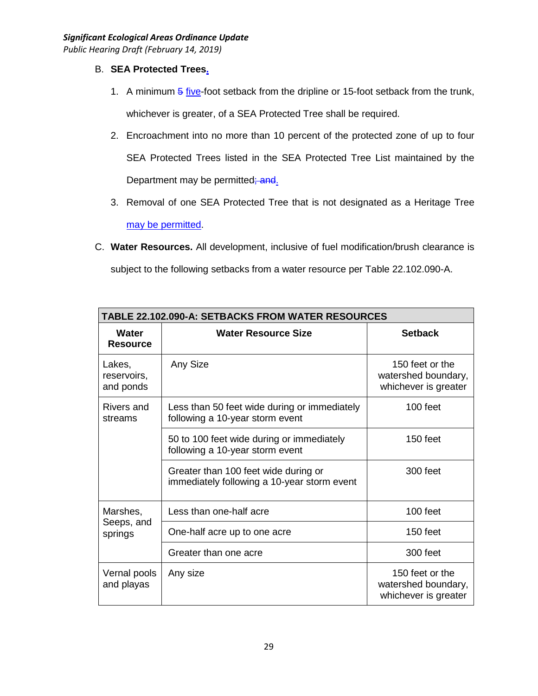# B. **SEA Protected Trees.**

- 1. A minimum  $\frac{5}{9}$  five-foot setback from the dripline or 15-foot setback from the trunk, whichever is greater, of a SEA Protected Tree shall be required.
- 2. Encroachment into no more than 10 percent of the protected zone of up to four SEA Protected Trees listed in the SEA Protected Tree List maintained by the Department may be permitted; and.
- 3. Removal of one SEA Protected Tree that is not designated as a Heritage Tree may be permitted.
- C. **Water Resources.** All development, inclusive of fuel modification/brush clearance is subject to the following setbacks from a water resource per Table 22.102.090-A.

| <b>TABLE 22.102.090-A: SETBACKS FROM WATER RESOURCES</b> |                                                                                     |                                                                |  |
|----------------------------------------------------------|-------------------------------------------------------------------------------------|----------------------------------------------------------------|--|
| Water<br><b>Resource</b>                                 | <b>Water Resource Size</b>                                                          | <b>Setback</b>                                                 |  |
| Lakes,<br>reservoirs,<br>and ponds                       | Any Size                                                                            | 150 feet or the<br>watershed boundary,<br>whichever is greater |  |
| Rivers and<br>streams                                    | Less than 50 feet wide during or immediately<br>following a 10-year storm event     | 100 feet                                                       |  |
|                                                          | 50 to 100 feet wide during or immediately<br>following a 10-year storm event        | $150$ feet                                                     |  |
|                                                          | Greater than 100 feet wide during or<br>immediately following a 10-year storm event | 300 feet                                                       |  |
| Marshes,<br>Seeps, and<br>springs                        | Less than one-half acre                                                             | 100 feet                                                       |  |
|                                                          | One-half acre up to one acre                                                        | 150 feet                                                       |  |
|                                                          | Greater than one acre                                                               | 300 feet                                                       |  |
| Vernal pools<br>and playas                               | Any size                                                                            | 150 feet or the<br>watershed boundary,<br>whichever is greater |  |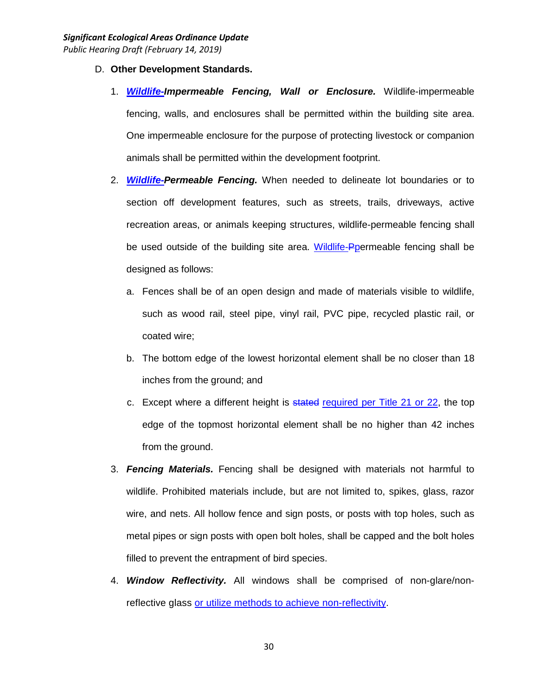- D. **Other Development Standards.**
	- 1. *Wildlife-Impermeable Fencing, Wall or Enclosure.* Wildlife-impermeable fencing, walls, and enclosures shall be permitted within the building site area. One impermeable enclosure for the purpose of protecting livestock or companion animals shall be permitted within the development footprint.
	- 2. *Wildlife-Permeable Fencing.* When needed to delineate lot boundaries or to section off development features, such as streets, trails, driveways, active recreation areas, or animals keeping structures, wildlife-permeable fencing shall be used outside of the building site area. Wildlife-Ppermeable fencing shall be designed as follows:
		- a. Fences shall be of an open design and made of materials visible to wildlife, such as wood rail, steel pipe, vinyl rail, PVC pipe, recycled plastic rail, or coated wire;
		- b. The bottom edge of the lowest horizontal element shall be no closer than 18 inches from the ground; and
		- c. Except where a different height is stated required per Title 21 or 22, the top edge of the topmost horizontal element shall be no higher than 42 inches from the ground.
	- 3. *Fencing Materials.* Fencing shall be designed with materials not harmful to wildlife. Prohibited materials include, but are not limited to, spikes, glass, razor wire, and nets. All hollow fence and sign posts, or posts with top holes, such as metal pipes or sign posts with open bolt holes, shall be capped and the bolt holes filled to prevent the entrapment of bird species.
	- 4. *Window Reflectivity.* All windows shall be comprised of non-glare/nonreflective glass or utilize methods to achieve non-reflectivity.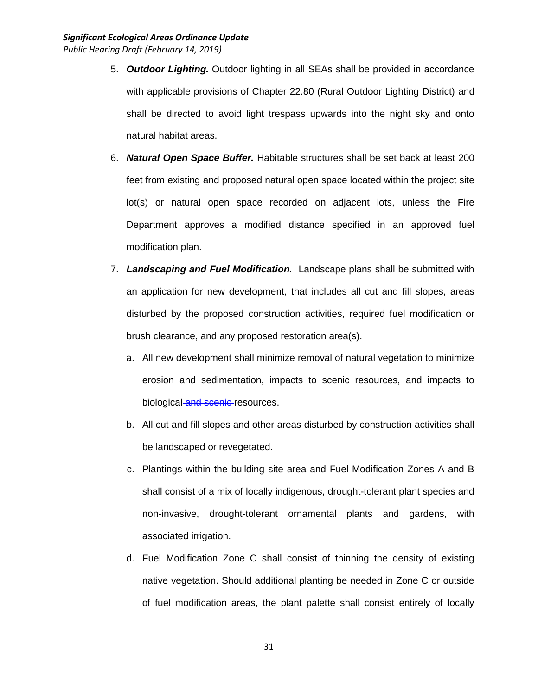- 5. *Outdoor Lighting.* Outdoor lighting in all SEAs shall be provided in accordance with applicable provisions of Chapter 22.80 (Rural Outdoor Lighting District) and shall be directed to avoid light trespass upwards into the night sky and onto natural habitat areas.
- 6. *Natural Open Space Buffer.* Habitable structures shall be set back at least 200 feet from existing and proposed natural open space located within the project site lot(s) or natural open space recorded on adjacent lots, unless the Fire Department approves a modified distance specified in an approved fuel modification plan.
- 7. *Landscaping and Fuel Modification.* Landscape plans shall be submitted with an application for new development, that includes all cut and fill slopes, areas disturbed by the proposed construction activities, required fuel modification or brush clearance, and any proposed restoration area(s).
	- a. All new development shall minimize removal of natural vegetation to minimize erosion and sedimentation, impacts to scenic resources, and impacts to biological and scenic resources.
	- b. All cut and fill slopes and other areas disturbed by construction activities shall be landscaped or revegetated.
	- c. Plantings within the building site area and Fuel Modification Zones A and B shall consist of a mix of locally indigenous, drought-tolerant plant species and non-invasive, drought-tolerant ornamental plants and gardens, with associated irrigation.
	- d. Fuel Modification Zone C shall consist of thinning the density of existing native vegetation. Should additional planting be needed in Zone C or outside of fuel modification areas, the plant palette shall consist entirely of locally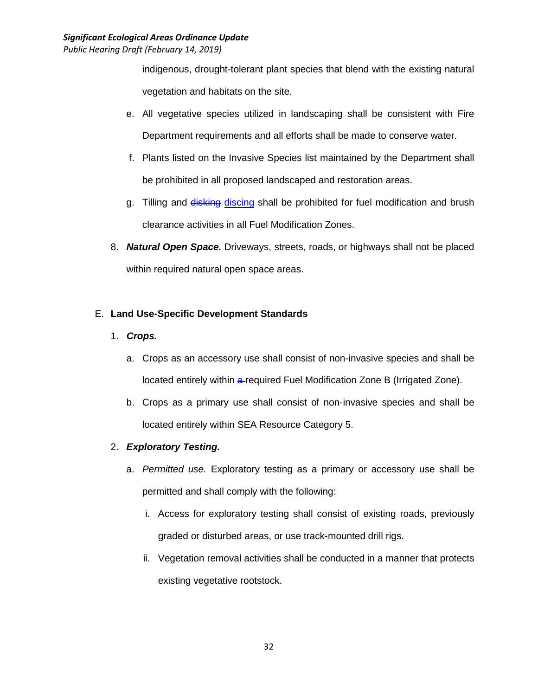indigenous, drought-tolerant plant species that blend with the existing natural vegetation and habitats on the site.

- e. All vegetative species utilized in landscaping shall be consistent with Fire Department requirements and all efforts shall be made to conserve water.
- f. Plants listed on the Invasive Species list maintained by the Department shall be prohibited in all proposed landscaped and restoration areas.
- g. Tilling and disking discing shall be prohibited for fuel modification and brush clearance activities in all Fuel Modification Zones.
- 8. *Natural Open Space.* Driveways, streets, roads, or highways shall not be placed within required natural open space areas.

# E. **Land Use-Specific Development Standards**

- 1. *Crops.*
	- a. Crops as an accessory use shall consist of non-invasive species and shall be located entirely within a-required Fuel Modification Zone B (Irrigated Zone).
	- b. Crops as a primary use shall consist of non-invasive species and shall be located entirely within SEA Resource Category 5.

# 2. *Exploratory Testing.*

- a. *Permitted use.* Exploratory testing as a primary or accessory use shall be permitted and shall comply with the following:
	- i. Access for exploratory testing shall consist of existing roads, previously graded or disturbed areas, or use track-mounted drill rigs.
	- ii. Vegetation removal activities shall be conducted in a manner that protects existing vegetative rootstock.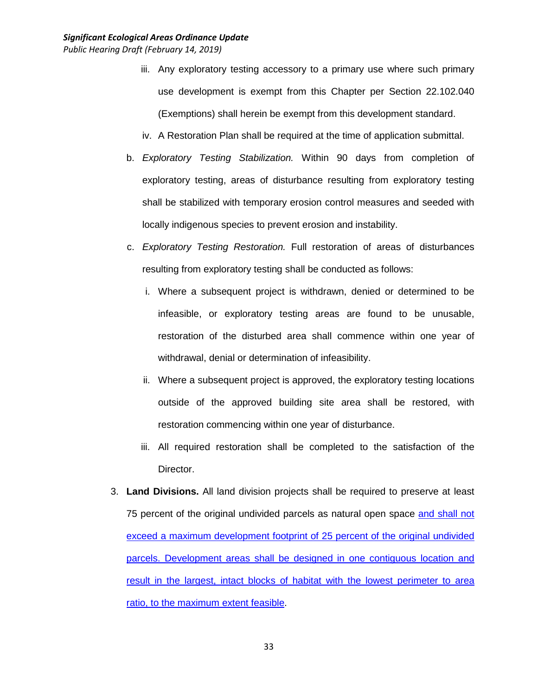- iii. Any exploratory testing accessory to a primary use where such primary use development is exempt from this Chapter per Section 22.102.040 (Exemptions) shall herein be exempt from this development standard.
- iv. A Restoration Plan shall be required at the time of application submittal.
- b. *Exploratory Testing Stabilization.* Within 90 days from completion of exploratory testing, areas of disturbance resulting from exploratory testing shall be stabilized with temporary erosion control measures and seeded with locally indigenous species to prevent erosion and instability.
- c. *Exploratory Testing Restoration.* Full restoration of areas of disturbances resulting from exploratory testing shall be conducted as follows:
	- i. Where a subsequent project is withdrawn, denied or determined to be infeasible, or exploratory testing areas are found to be unusable, restoration of the disturbed area shall commence within one year of withdrawal, denial or determination of infeasibility.
	- ii. Where a subsequent project is approved, the exploratory testing locations outside of the approved building site area shall be restored, with restoration commencing within one year of disturbance.
	- iii. All required restoration shall be completed to the satisfaction of the Director.
- 3. **Land Divisions.** All land division projects shall be required to preserve at least 75 percent of the original undivided parcels as natural open space and shall not exceed a maximum development footprint of 25 percent of the original undivided parcels. Development areas shall be designed in one contiguous location and result in the largest, intact blocks of habitat with the lowest perimeter to area ratio, to the maximum extent feasible.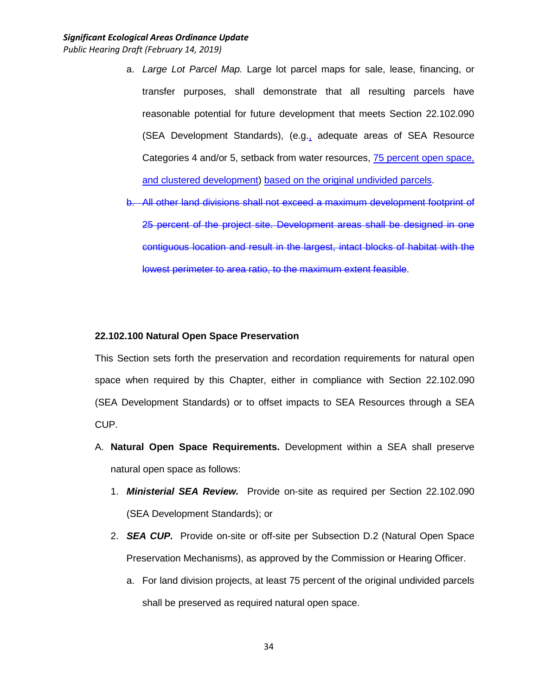- a. *Large Lot Parcel Map.* Large lot parcel maps for sale, lease, financing, or transfer purposes, shall demonstrate that all resulting parcels have reasonable potential for future development that meets Section 22.102.090 (SEA Development Standards), (e.g., adequate areas of SEA Resource Categories 4 and/or 5, setback from water resources, 75 percent open space, and clustered development) based on the original undivided parcels.
- b. All other land divisions shall not exceed a maximum development footprint of 25 percent of the project site. Development areas shall be designed in one contiguous location and result in the largest, intact blocks of habitat with the lowest perimeter to area ratio, to the maximum extent feasible.

#### **22.102.100 Natural Open Space Preservation**

This Section sets forth the preservation and recordation requirements for natural open space when required by this Chapter, either in compliance with Section 22.102.090 (SEA Development Standards) or to offset impacts to SEA Resources through a SEA CUP.

- A. **Natural Open Space Requirements.** Development within a SEA shall preserve natural open space as follows:
	- 1. *Ministerial SEA Review.* Provide on-site as required per Section 22.102.090 (SEA Development Standards); or
	- 2. *SEA CUP.* Provide on-site or off-site per Subsection D.2 (Natural Open Space Preservation Mechanisms), as approved by the Commission or Hearing Officer.
		- a. For land division projects, at least 75 percent of the original undivided parcels shall be preserved as required natural open space.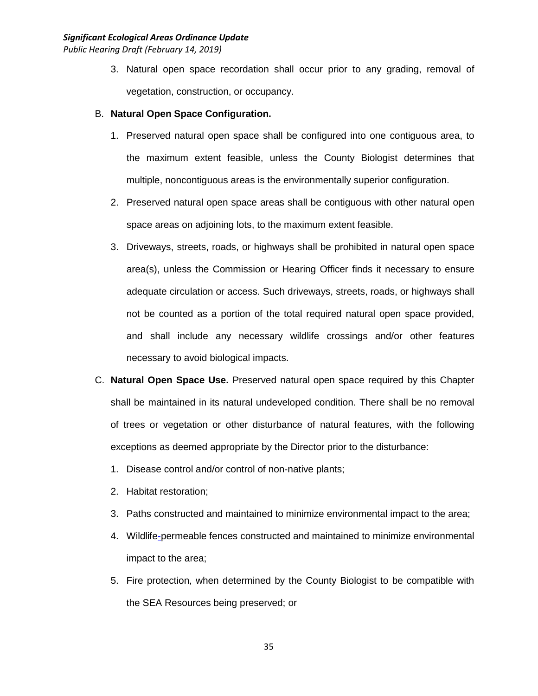- 3. Natural open space recordation shall occur prior to any grading, removal of vegetation, construction, or occupancy.
- B. **Natural Open Space Configuration.**
	- 1. Preserved natural open space shall be configured into one contiguous area, to the maximum extent feasible, unless the County Biologist determines that multiple, noncontiguous areas is the environmentally superior configuration.
	- 2. Preserved natural open space areas shall be contiguous with other natural open space areas on adjoining lots, to the maximum extent feasible.
	- 3. Driveways, streets, roads, or highways shall be prohibited in natural open space area(s), unless the Commission or Hearing Officer finds it necessary to ensure adequate circulation or access. Such driveways, streets, roads, or highways shall not be counted as a portion of the total required natural open space provided, and shall include any necessary wildlife crossings and/or other features necessary to avoid biological impacts.
- C. **Natural Open Space Use.** Preserved natural open space required by this Chapter shall be maintained in its natural undeveloped condition. There shall be no removal of trees or vegetation or other disturbance of natural features, with the following exceptions as deemed appropriate by the Director prior to the disturbance:
	- 1. Disease control and/or control of non-native plants;
	- 2. Habitat restoration;
	- 3. Paths constructed and maintained to minimize environmental impact to the area;
	- 4. Wildlife-permeable fences constructed and maintained to minimize environmental impact to the area;
	- 5. Fire protection, when determined by the County Biologist to be compatible with the SEA Resources being preserved; or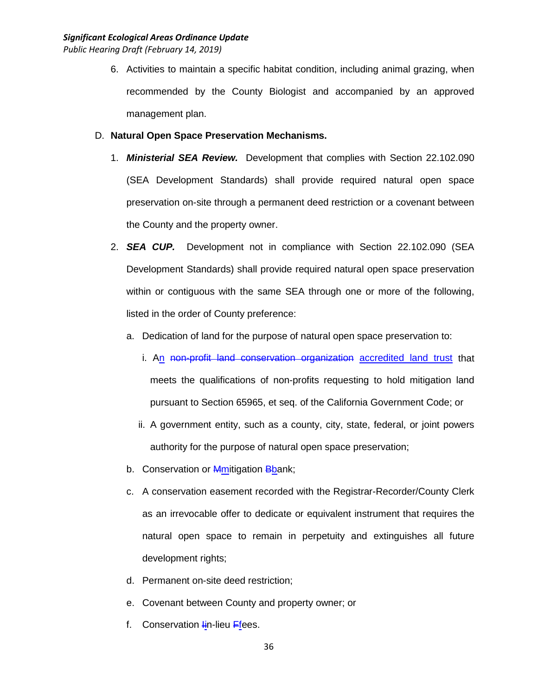6. Activities to maintain a specific habitat condition, including animal grazing, when recommended by the County Biologist and accompanied by an approved management plan.

## D. **Natural Open Space Preservation Mechanisms.**

- 1. *Ministerial SEA Review.* Development that complies with Section 22.102.090 (SEA Development Standards) shall provide required natural open space preservation on-site through a permanent deed restriction or a covenant between the County and the property owner.
- 2. *SEA CUP.* Development not in compliance with Section 22.102.090 (SEA Development Standards) shall provide required natural open space preservation within or contiguous with the same SEA through one or more of the following, listed in the order of County preference:
	- a. Dedication of land for the purpose of natural open space preservation to:
		- i. An non-profit land conservation organization accredited land trust that meets the qualifications of non-profits requesting to hold mitigation land pursuant to Section 65965, et seq. of the California Government Code; or
		- ii. A government entity, such as a county, city, state, federal, or joint powers authority for the purpose of natural open space preservation;
	- b. Conservation or **Mmitigation Bbank**;
	- c. A conservation easement recorded with the Registrar-Recorder/County Clerk as an irrevocable offer to dedicate or equivalent instrument that requires the natural open space to remain in perpetuity and extinguishes all future development rights;
	- d. Permanent on-site deed restriction;
	- e. Covenant between County and property owner; or
	- f. Conservation  $\frac{1}{2}$ in-lieu Ffees.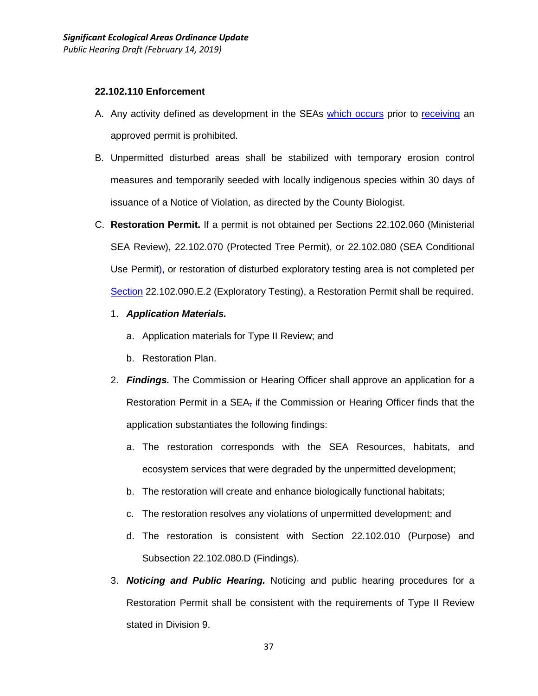#### **22.102.110 Enforcement**

- A. Any activity defined as development in the SEAs which occurs prior to receiving an approved permit is prohibited.
- B. Unpermitted disturbed areas shall be stabilized with temporary erosion control measures and temporarily seeded with locally indigenous species within 30 days of issuance of a Notice of Violation, as directed by the County Biologist.
- C. **Restoration Permit.** If a permit is not obtained per Sections 22.102.060 (Ministerial SEA Review), 22.102.070 (Protected Tree Permit), or 22.102.080 (SEA Conditional Use Permit), or restoration of disturbed exploratory testing area is not completed per Section 22.102.090.E.2 (Exploratory Testing), a Restoration Permit shall be required.
	- 1. *Application Materials.*
		- a. Application materials for Type II Review; and
		- b. Restoration Plan.
	- 2. *Findings.* The Commission or Hearing Officer shall approve an application for a Restoration Permit in a  $SEA<sub>T</sub>$  if the Commission or Hearing Officer finds that the application substantiates the following findings:
		- a. The restoration corresponds with the SEA Resources, habitats, and ecosystem services that were degraded by the unpermitted development;
		- b. The restoration will create and enhance biologically functional habitats;
		- c. The restoration resolves any violations of unpermitted development; and
		- d. The restoration is consistent with Section 22.102.010 (Purpose) and Subsection 22.102.080.D (Findings).
	- 3. *Noticing and Public Hearing.* Noticing and public hearing procedures for a Restoration Permit shall be consistent with the requirements of Type II Review stated in Division 9.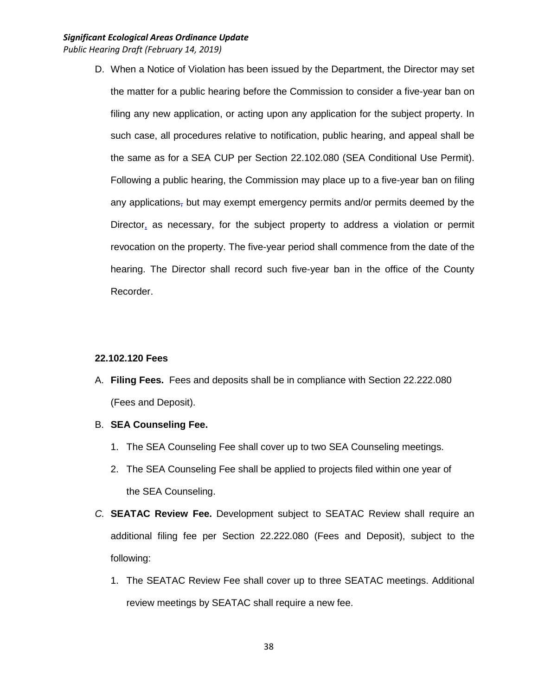D. When a Notice of Violation has been issued by the Department, the Director may set the matter for a public hearing before the Commission to consider a five-year ban on filing any new application, or acting upon any application for the subject property. In such case, all procedures relative to notification, public hearing, and appeal shall be the same as for a SEA CUP per Section 22.102.080 (SEA Conditional Use Permit). Following a public hearing, the Commission may place up to a five-year ban on filing any applications, but may exempt emergency permits and/or permits deemed by the Director, as necessary, for the subject property to address a violation or permit revocation on the property. The five-year period shall commence from the date of the hearing. The Director shall record such five-year ban in the office of the County Recorder.

#### **22.102.120 Fees**

- A. **Filing Fees.** Fees and deposits shall be in compliance with Section 22.222.080 (Fees and Deposit).
- B. **SEA Counseling Fee.**
	- 1. The SEA Counseling Fee shall cover up to two SEA Counseling meetings.
	- 2. The SEA Counseling Fee shall be applied to projects filed within one year of the SEA Counseling.
- *C.* **SEATAC Review Fee.** Development subject to SEATAC Review shall require an additional filing fee per Section 22.222.080 (Fees and Deposit), subject to the following:
	- 1. The SEATAC Review Fee shall cover up to three SEATAC meetings. Additional review meetings by SEATAC shall require a new fee.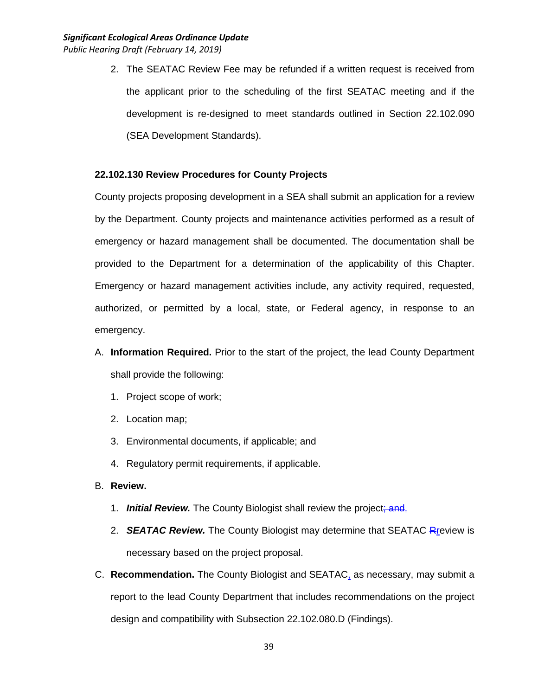2. The SEATAC Review Fee may be refunded if a written request is received from the applicant prior to the scheduling of the first SEATAC meeting and if the development is re-designed to meet standards outlined in Section 22.102.090 (SEA Development Standards).

#### **22.102.130 Review Procedures for County Projects**

County projects proposing development in a SEA shall submit an application for a review by the Department. County projects and maintenance activities performed as a result of emergency or hazard management shall be documented. The documentation shall be provided to the Department for a determination of the applicability of this Chapter. Emergency or hazard management activities include, any activity required, requested, authorized, or permitted by a local, state, or Federal agency, in response to an emergency.

- A. **Information Required.** Prior to the start of the project, the lead County Department shall provide the following:
	- 1. Project scope of work;
	- 2. Location map;
	- 3. Environmental documents, if applicable; and
	- 4. Regulatory permit requirements, if applicable.
- B. **Review.**
	- 1. *Initial Review.* The County Biologist shall review the project; and.
	- 2. *SEATAC Review.* The County Biologist may determine that SEATAC Rreview is necessary based on the project proposal.
- C. **Recommendation.** The County Biologist and SEATAC, as necessary, may submit a report to the lead County Department that includes recommendations on the project design and compatibility with Subsection 22.102.080.D (Findings).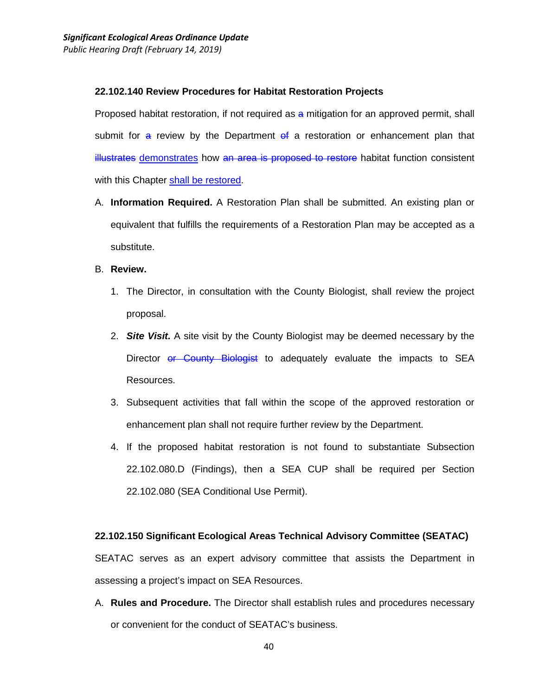#### **22.102.140 Review Procedures for Habitat Restoration Projects**

Proposed habitat restoration, if not required as a mitigation for an approved permit, shall submit for  $a$  review by the Department  $af a$  restoration or enhancement plan that illustrates demonstrates how an area is proposed to restore habitat function consistent with this Chapter shall be restored.

- A. **Information Required.** A Restoration Plan shall be submitted. An existing plan or equivalent that fulfills the requirements of a Restoration Plan may be accepted as a substitute.
- B. **Review.** 
	- 1. The Director, in consultation with the County Biologist, shall review the project proposal.
	- 2. *Site Visit.* A site visit by the County Biologist may be deemed necessary by the Director or County Biologist to adequately evaluate the impacts to SEA Resources.
	- 3. Subsequent activities that fall within the scope of the approved restoration or enhancement plan shall not require further review by the Department.
	- 4. If the proposed habitat restoration is not found to substantiate Subsection 22.102.080.D (Findings), then a SEA CUP shall be required per Section 22.102.080 (SEA Conditional Use Permit).

#### **22.102.150 Significant Ecological Areas Technical Advisory Committee (SEATAC)**

SEATAC serves as an expert advisory committee that assists the Department in assessing a project's impact on SEA Resources.

A. **Rules and Procedure.** The Director shall establish rules and procedures necessary or convenient for the conduct of SEATAC's business.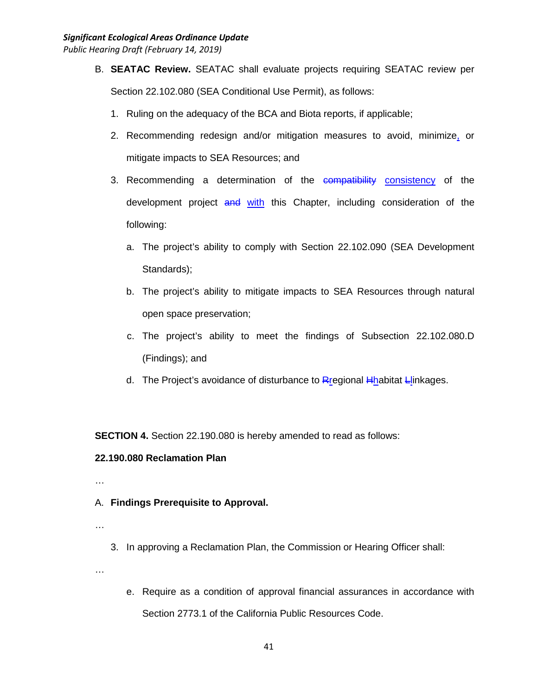- B. **SEATAC Review.** SEATAC shall evaluate projects requiring SEATAC review per Section 22.102.080 (SEA Conditional Use Permit), as follows:
	- 1. Ruling on the adequacy of the BCA and Biota reports, if applicable;
	- 2. Recommending redesign and/or mitigation measures to avoid, minimize, or mitigate impacts to SEA Resources; and
	- 3. Recommending a determination of the compatibility consistency of the development project and with this Chapter, including consideration of the following:
		- a. The project's ability to comply with Section 22.102.090 (SEA Development Standards);
		- b. The project's ability to mitigate impacts to SEA Resources through natural open space preservation;
		- c. The project's ability to meet the findings of Subsection 22.102.080.D (Findings); and
		- d. The Project's avoidance of disturbance to Rregional  $H$ habitat Llinkages.

**SECTION 4.** Section 22.190.080 is hereby amended to read as follows:

# **22.190.080 Reclamation Plan**

- …
- A. **Findings Prerequisite to Approval.**
- …
- 3. In approving a Reclamation Plan, the Commission or Hearing Officer shall:

…

e. Require as a condition of approval financial assurances in accordance with Section 2773.1 of the California Public Resources Code.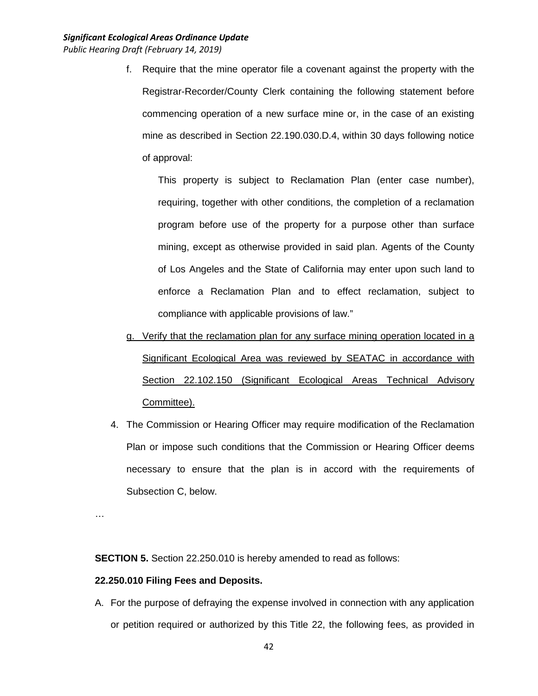f. Require that the mine operator file a covenant against the property with the Registrar-Recorder/County Clerk containing the following statement before commencing operation of a new surface mine or, in the case of an existing mine as described in Section 22.190.030.D.4, within 30 days following notice of approval:

This property is subject to Reclamation Plan (enter case number), requiring, together with other conditions, the completion of a reclamation program before use of the property for a purpose other than surface mining, except as otherwise provided in said plan. Agents of the County of Los Angeles and the State of California may enter upon such land to enforce a Reclamation Plan and to effect reclamation, subject to compliance with applicable provisions of law."

- g. Verify that the reclamation plan for any surface mining operation located in a Significant Ecological Area was reviewed by SEATAC in accordance with Section 22.102.150 (Significant Ecological Areas Technical Advisory Committee).
- 4. The Commission or Hearing Officer may require modification of the Reclamation Plan or impose such conditions that the Commission or Hearing Officer deems necessary to ensure that the plan is in accord with the requirements of Subsection C, below.

…

**SECTION 5.** Section 22.250.010 is hereby amended to read as follows:

# **22.250.010 Filing Fees and Deposits.**

A. For the purpose of defraying the expense involved in connection with any application or petition required or authorized by this Title 22, the following fees, as provided in